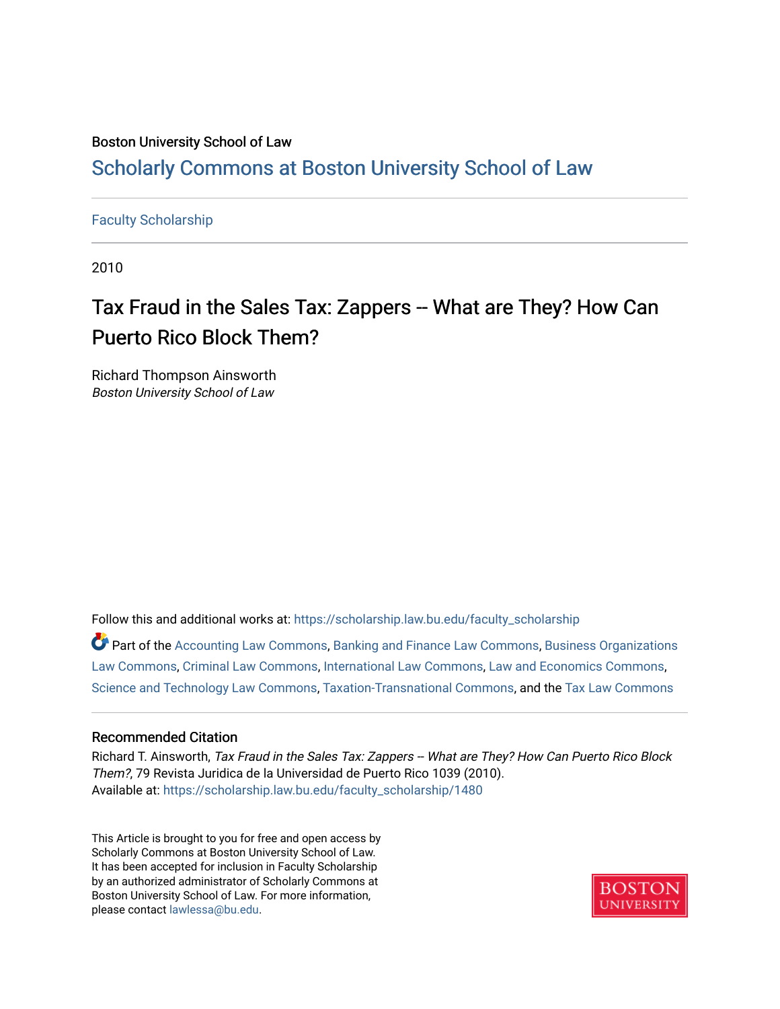## Boston University School of Law [Scholarly Commons at Boston University School of Law](https://scholarship.law.bu.edu/)

## [Faculty Scholarship](https://scholarship.law.bu.edu/faculty_scholarship)

2010

# Tax Fraud in the Sales Tax: Zappers -- What are They? How Can Puerto Rico Block Them?

Richard Thompson Ainsworth Boston University School of Law

Follow this and additional works at: [https://scholarship.law.bu.edu/faculty\\_scholarship](https://scholarship.law.bu.edu/faculty_scholarship?utm_source=scholarship.law.bu.edu%2Ffaculty_scholarship%2F1480&utm_medium=PDF&utm_campaign=PDFCoverPages)

Part of the [Accounting Law Commons](http://network.bepress.com/hgg/discipline/828?utm_source=scholarship.law.bu.edu%2Ffaculty_scholarship%2F1480&utm_medium=PDF&utm_campaign=PDFCoverPages), [Banking and Finance Law Commons](http://network.bepress.com/hgg/discipline/833?utm_source=scholarship.law.bu.edu%2Ffaculty_scholarship%2F1480&utm_medium=PDF&utm_campaign=PDFCoverPages), [Business Organizations](http://network.bepress.com/hgg/discipline/900?utm_source=scholarship.law.bu.edu%2Ffaculty_scholarship%2F1480&utm_medium=PDF&utm_campaign=PDFCoverPages) [Law Commons,](http://network.bepress.com/hgg/discipline/900?utm_source=scholarship.law.bu.edu%2Ffaculty_scholarship%2F1480&utm_medium=PDF&utm_campaign=PDFCoverPages) [Criminal Law Commons,](http://network.bepress.com/hgg/discipline/912?utm_source=scholarship.law.bu.edu%2Ffaculty_scholarship%2F1480&utm_medium=PDF&utm_campaign=PDFCoverPages) [International Law Commons](http://network.bepress.com/hgg/discipline/609?utm_source=scholarship.law.bu.edu%2Ffaculty_scholarship%2F1480&utm_medium=PDF&utm_campaign=PDFCoverPages), [Law and Economics Commons,](http://network.bepress.com/hgg/discipline/612?utm_source=scholarship.law.bu.edu%2Ffaculty_scholarship%2F1480&utm_medium=PDF&utm_campaign=PDFCoverPages) [Science and Technology Law Commons](http://network.bepress.com/hgg/discipline/875?utm_source=scholarship.law.bu.edu%2Ffaculty_scholarship%2F1480&utm_medium=PDF&utm_campaign=PDFCoverPages), [Taxation-Transnational Commons,](http://network.bepress.com/hgg/discipline/883?utm_source=scholarship.law.bu.edu%2Ffaculty_scholarship%2F1480&utm_medium=PDF&utm_campaign=PDFCoverPages) and the [Tax Law Commons](http://network.bepress.com/hgg/discipline/898?utm_source=scholarship.law.bu.edu%2Ffaculty_scholarship%2F1480&utm_medium=PDF&utm_campaign=PDFCoverPages) 

#### Recommended Citation

Richard T. Ainsworth, Tax Fraud in the Sales Tax: Zappers -- What are They? How Can Puerto Rico Block Them?, 79 Revista Juridica de la Universidad de Puerto Rico 1039 (2010). Available at: [https://scholarship.law.bu.edu/faculty\\_scholarship/1480](https://scholarship.law.bu.edu/faculty_scholarship/1480?utm_source=scholarship.law.bu.edu%2Ffaculty_scholarship%2F1480&utm_medium=PDF&utm_campaign=PDFCoverPages)

This Article is brought to you for free and open access by Scholarly Commons at Boston University School of Law. It has been accepted for inclusion in Faculty Scholarship by an authorized administrator of Scholarly Commons at Boston University School of Law. For more information, please contact [lawlessa@bu.edu](mailto:lawlessa@bu.edu).

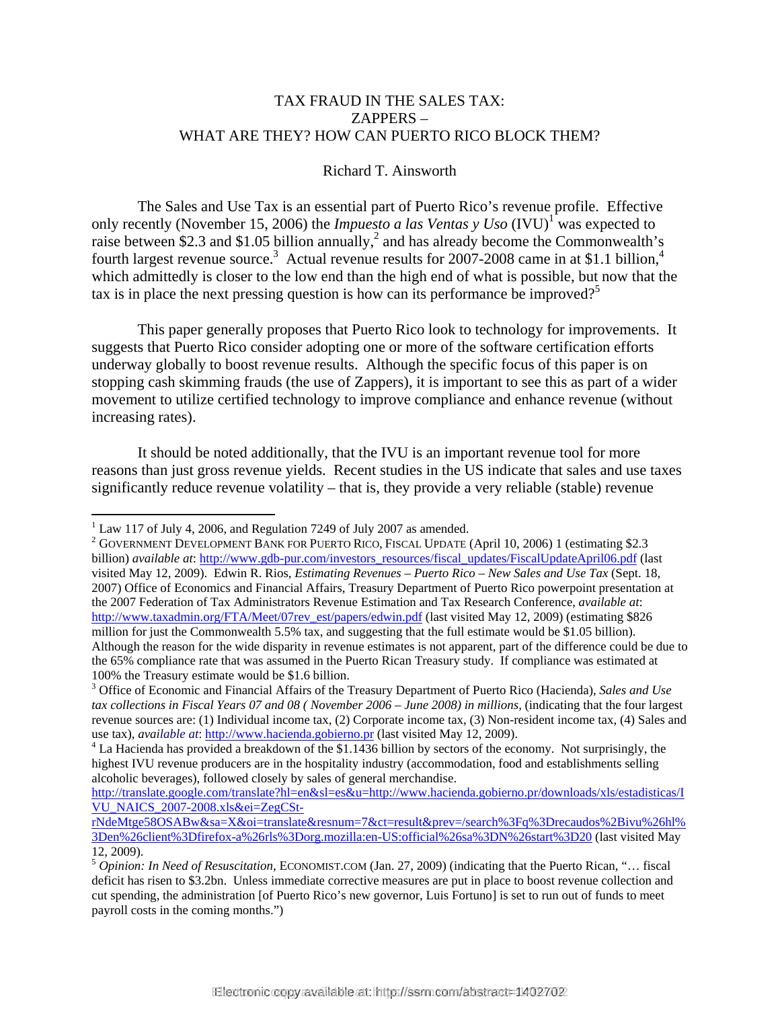## TAX FRAUD IN THE SALES TAX: ZAPPERS – WHAT ARE THEY? HOW CAN PUERTO RICO BLOCK THEM?

#### Richard T. Ainsworth

The Sales and Use Tax is an essential part of Puerto Rico's revenue profile. Effective only recently (November 15, 2006) the *Impuesto a las Ventas y Uso*  $(IVU)^{1}$  was expected to raise between \$2.3 and \$1.05 billion annually,<sup>2</sup> and has already become the Commonwealth's fourth largest revenue source.<sup>3</sup> Actual revenue results for 2007-2008 came in at \$1.1 billion,<sup>4</sup> which admittedly is closer to the low end than the high end of what is possible, but now that the tax is in place the next pressing question is how can its performance be improved?<sup>5</sup>

This paper generally proposes that Puerto Rico look to technology for improvements. It suggests that Puerto Rico consider adopting one or more of the software certification efforts underway globally to boost revenue results. Although the specific focus of this paper is on stopping cash skimming frauds (the use of Zappers), it is important to see this as part of a wider movement to utilize certified technology to improve compliance and enhance revenue (without increasing rates).

It should be noted additionally, that the IVU is an important revenue tool for more reasons than just gross revenue yields. Recent studies in the US indicate that sales and use taxes significantly reduce revenue volatility – that is, they provide a very reliable (stable) revenue

 $1$  Law 117 of July 4, 2006, and Regulation 7249 of July 2007 as amended.

 $2^{2}$  GOVERNMENT DEVELOPMENT BANK FOR PUERTO RICO, FISCAL UPDATE (April 10, 2006) 1 (estimating \$2.3 billion) *available at*: http://www.gdb-pur.com/investors\_resources/fiscal\_updates/FiscalUpdateApril06.pdf (last visited May 12, 2009). Edwin R. Rios, *Estimating Revenues – Puerto Rico – New Sales and Use Tax* (Sept. 18, 2007) Office of Economics and Financial Affairs, Treasury Department of Puerto Rico powerpoint presentation at the 2007 Federation of Tax Administrators Revenue Estimation and Tax Research Conference, *available at*: http://www.taxadmin.org/FTA/Meet/07rev\_est/papers/edwin.pdf (last visited May 12, 2009) (estimating \$826 million for just the Commonwealth 5.5% tax, and suggesting that the full estimate would be \$1.05 billion). Although the reason for the wide disparity in revenue estimates is not apparent, part of the difference could be due to the 65% compliance rate that was assumed in the Puerto Rican Treasury study. If compliance was estimated at 100% the Treasury estimate would be \$1.6 billion.

<sup>3</sup> Office of Economic and Financial Affairs of the Treasury Department of Puerto Rico (Hacienda), *Sales and Use tax collections in Fiscal Years 07 and 08 ( November 2006 – June 2008) in millions,* (indicating that the four largest revenue sources are: (1) Individual income tax, (2) Corporate income tax, (3) Non-resident income tax, (4) Sales and use tax), *available at*: http://www.hacienda.gobierno.pr (last visited May 12, 2009).

<sup>&</sup>lt;sup>4</sup> La Hacienda has provided a breakdown of the \$1.1436 billion by sectors of the economy. Not surprisingly, the highest IVU revenue producers are in the hospitality industry (accommodation, food and establishments selling alcoholic beverages), followed closely by sales of general merchandise.

http://translate.google.com/translate?hl=en&sl=es&u=http://www.hacienda.gobierno.pr/downloads/xls/estadisticas/I VU\_NAICS\_2007-2008.xls&ei=ZegCSt-

rNdeMtge58OSABw&sa=X&oi=translate&resnum=7&ct=result&prev=/search%3Fq%3Drecaudos%2Bivu%26hl% 3Den%26client%3Dfirefox-a%26rls%3Dorg.mozilla:en-US:official%26sa%3DN%26start%3D20 (last visited May 12, 2009).

<sup>5</sup> *Opinion: In Need of Resuscitation*, ECONOMIST.COM (Jan. 27, 2009) (indicating that the Puerto Rican, "… fiscal deficit has risen to \$3.2bn. Unless immediate corrective measures are put in place to boost revenue collection and cut spending, the administration [of Puerto Rico's new governor, Luis Fortuno] is set to run out of funds to meet payroll costs in the coming months.")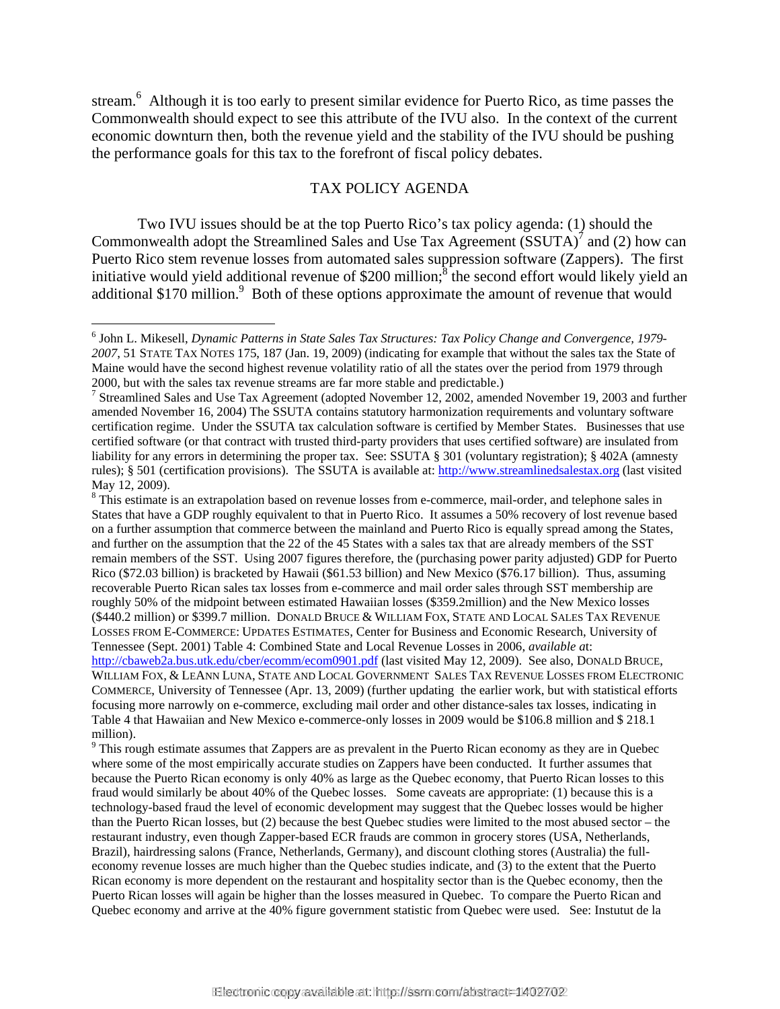stream.<sup>6</sup> Although it is too early to present similar evidence for Puerto Rico, as time passes the Commonwealth should expect to see this attribute of the IVU also. In the context of the current economic downturn then, both the revenue yield and the stability of the IVU should be pushing the performance goals for this tax to the forefront of fiscal policy debates.

## TAX POLICY AGENDA

 Two IVU issues should be at the top Puerto Rico's tax policy agenda: (1) should the Commonwealth adopt the Streamlined Sales and Use Tax Agreement  $(SSUTA)^7$  and (2) how can Puerto Rico stem revenue losses from automated sales suppression software (Zappers). The first initiative would yield additional revenue of \$200 million;<sup>8</sup> the second effort would likely yield an additional \$170 million.<sup>9</sup> Both of these options approximate the amount of revenue that would

1

<sup>8</sup> This estimate is an extrapolation based on revenue losses from e-commerce, mail-order, and telephone sales in States that have a GDP roughly equivalent to that in Puerto Rico. It assumes a 50% recovery of lost revenue based on a further assumption that commerce between the mainland and Puerto Rico is equally spread among the States, and further on the assumption that the 22 of the 45 States with a sales tax that are already members of the SST remain members of the SST. Using 2007 figures therefore, the (purchasing power parity adjusted) GDP for Puerto Rico (\$72.03 billion) is bracketed by Hawaii (\$61.53 billion) and New Mexico (\$76.17 billion). Thus, assuming recoverable Puerto Rican sales tax losses from e-commerce and mail order sales through SST membership are roughly 50% of the midpoint between estimated Hawaiian losses (\$359.2million) and the New Mexico losses (\$440.2 million) or \$399.7 million. DONALD BRUCE & WILLIAM FOX, STATE AND LOCAL SALES TAX REVENUE LOSSES FROM E-COMMERCE: UPDATES ESTIMATES, Center for Business and Economic Research, University of Tennessee (Sept. 2001) Table 4: Combined State and Local Revenue Losses in 2006, *available a*t: http://cbaweb2a.bus.utk.edu/cber/ecomm/ecom0901.pdf (last visited May 12, 2009). See also, DONALD BRUCE, WILLIAM FOX, & LEANN LUNA, STATE AND LOCAL GOVERNMENT SALES TAX REVENUE LOSSES FROM ELECTRONIC COMMERCE, University of Tennessee (Apr. 13, 2009) (further updating the earlier work, but with statistical efforts focusing more narrowly on e-commerce, excluding mail order and other distance-sales tax losses, indicating in Table 4 that Hawaiian and New Mexico e-commerce-only losses in 2009 would be \$106.8 million and \$ 218.1 million).

<sup>9</sup> This rough estimate assumes that Zappers are as prevalent in the Puerto Rican economy as they are in Quebec where some of the most empirically accurate studies on Zappers have been conducted. It further assumes that because the Puerto Rican economy is only 40% as large as the Quebec economy, that Puerto Rican losses to this fraud would similarly be about 40% of the Quebec losses. Some caveats are appropriate: (1) because this is a technology-based fraud the level of economic development may suggest that the Quebec losses would be higher than the Puerto Rican losses, but (2) because the best Quebec studies were limited to the most abused sector – the restaurant industry, even though Zapper-based ECR frauds are common in grocery stores (USA, Netherlands, Brazil), hairdressing salons (France, Netherlands, Germany), and discount clothing stores (Australia) the fulleconomy revenue losses are much higher than the Quebec studies indicate, and (3) to the extent that the Puerto Rican economy is more dependent on the restaurant and hospitality sector than is the Quebec economy, then the Puerto Rican losses will again be higher than the losses measured in Quebec. To compare the Puerto Rican and Quebec economy and arrive at the 40% figure government statistic from Quebec were used. See: Instutut de la

<sup>6</sup> John L. Mikesell, *Dynamic Patterns in State Sales Tax Structures: Tax Policy Change and Convergence, 1979- 2007*, 51 STATE TAX NOTES 175, 187 (Jan. 19, 2009) (indicating for example that without the sales tax the State of Maine would have the second highest revenue volatility ratio of all the states over the period from 1979 through 2000, but with the sales tax revenue streams are far more stable and predictable.)<br><sup>7</sup> Streamlined Sales and Use Tax Agreement (adopted November 12, 2002, amended November 19, 2003 and further

amended November 16, 2004) The SSUTA contains statutory harmonization requirements and voluntary software certification regime. Under the SSUTA tax calculation software is certified by Member States. Businesses that use certified software (or that contract with trusted third-party providers that uses certified software) are insulated from liability for any errors in determining the proper tax. See: SSUTA § 301 (voluntary registration); § 402A (amnesty rules); § 501 (certification provisions). The SSUTA is available at: http://www.streamlinedsalestax.org (last visited May 12, 2009).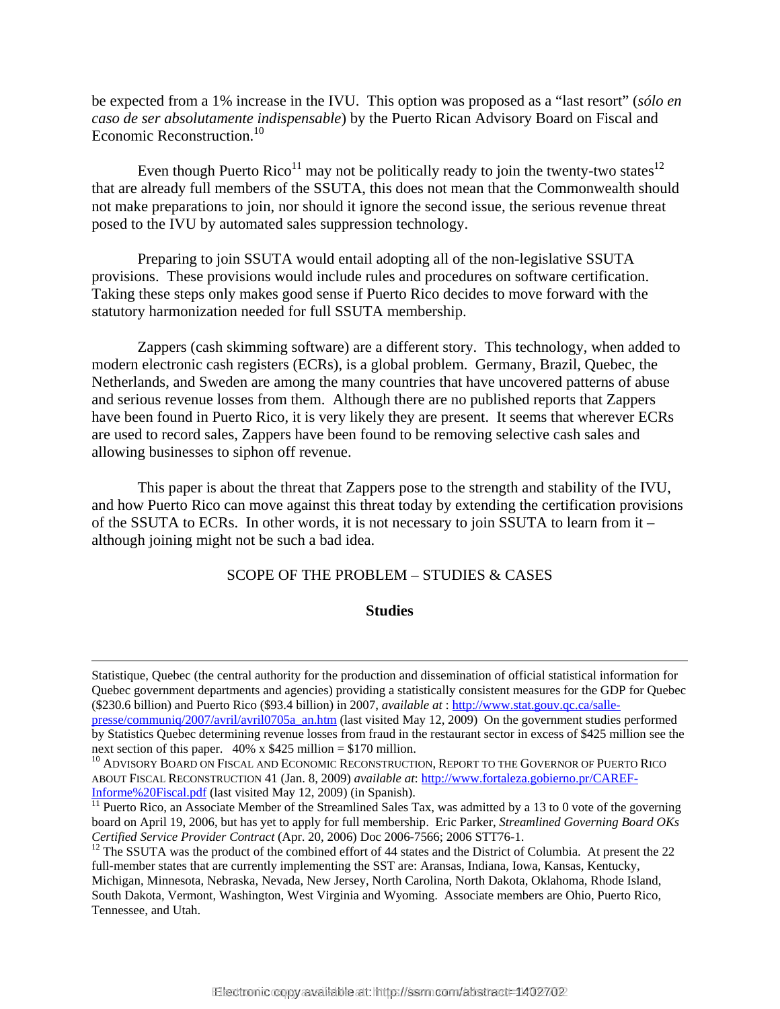be expected from a 1% increase in the IVU. This option was proposed as a "last resort" (*sólo en caso de ser absolutamente indispensable*) by the Puerto Rican Advisory Board on Fiscal and Economic Reconstruction.<sup>10</sup>

Even though Puerto  $Rico<sup>11</sup>$  may not be politically ready to join the twenty-two states<sup>12</sup> that are already full members of the SSUTA, this does not mean that the Commonwealth should not make preparations to join, nor should it ignore the second issue, the serious revenue threat posed to the IVU by automated sales suppression technology.

Preparing to join SSUTA would entail adopting all of the non-legislative SSUTA provisions. These provisions would include rules and procedures on software certification. Taking these steps only makes good sense if Puerto Rico decides to move forward with the statutory harmonization needed for full SSUTA membership.

Zappers (cash skimming software) are a different story. This technology, when added to modern electronic cash registers (ECRs), is a global problem. Germany, Brazil, Quebec, the Netherlands, and Sweden are among the many countries that have uncovered patterns of abuse and serious revenue losses from them. Although there are no published reports that Zappers have been found in Puerto Rico, it is very likely they are present. It seems that wherever ECRs are used to record sales, Zappers have been found to be removing selective cash sales and allowing businesses to siphon off revenue.

This paper is about the threat that Zappers pose to the strength and stability of the IVU, and how Puerto Rico can move against this threat today by extending the certification provisions of the SSUTA to ECRs. In other words, it is not necessary to join SSUTA to learn from it – although joining might not be such a bad idea.

## SCOPE OF THE PROBLEM – STUDIES & CASES

#### **Studies**

Statistique, Quebec (the central authority for the production and dissemination of official statistical information for Quebec government departments and agencies) providing a statistically consistent measures for the GDP for Quebec (\$230.6 billion) and Puerto Rico (\$93.4 billion) in 2007, *available at* : http://www.stat.gouv.qc.ca/salle-

presse/communiq/2007/avril/avril0705a\_an.htm (last visited May 12, 2009) On the government studies performed by Statistics Quebec determining revenue losses from fraud in the restaurant sector in excess of \$425 million see the next section of this paper.  $40\%$  x \$425 million = \$170 million.

<sup>&</sup>lt;sup>10</sup> ADVISORY BOARD ON FISCAL AND ECONOMIC RECONSTRUCTION, REPORT TO THE GOVERNOR OF PUERTO RICO ABOUT FISCAL RECONSTRUCTION 41 (Jan. 8, 2009) *available at*: http://www.fortaleza.gobierno.pr/CAREF-

<sup>&</sup>lt;sup>11</sup> Puerto Rico, an Associate Member of the Streamlined Sales Tax, was admitted by a 13 to 0 vote of the governing board on April 19, 2006, but has yet to apply for full membership. Eric Parker, *Streamlined Governing Board OKs* 

<sup>&</sup>lt;sup>12</sup> The SSUTA was the product of the combined effort of 44 states and the District of Columbia. At present the 22 full-member states that are currently implementing the SST are: Aransas, Indiana, Iowa, Kansas, Kentucky, Michigan, Minnesota, Nebraska, Nevada, New Jersey, North Carolina, North Dakota, Oklahoma, Rhode Island, South Dakota, Vermont, Washington, West Virginia and Wyoming. Associate members are Ohio, Puerto Rico, Tennessee, and Utah.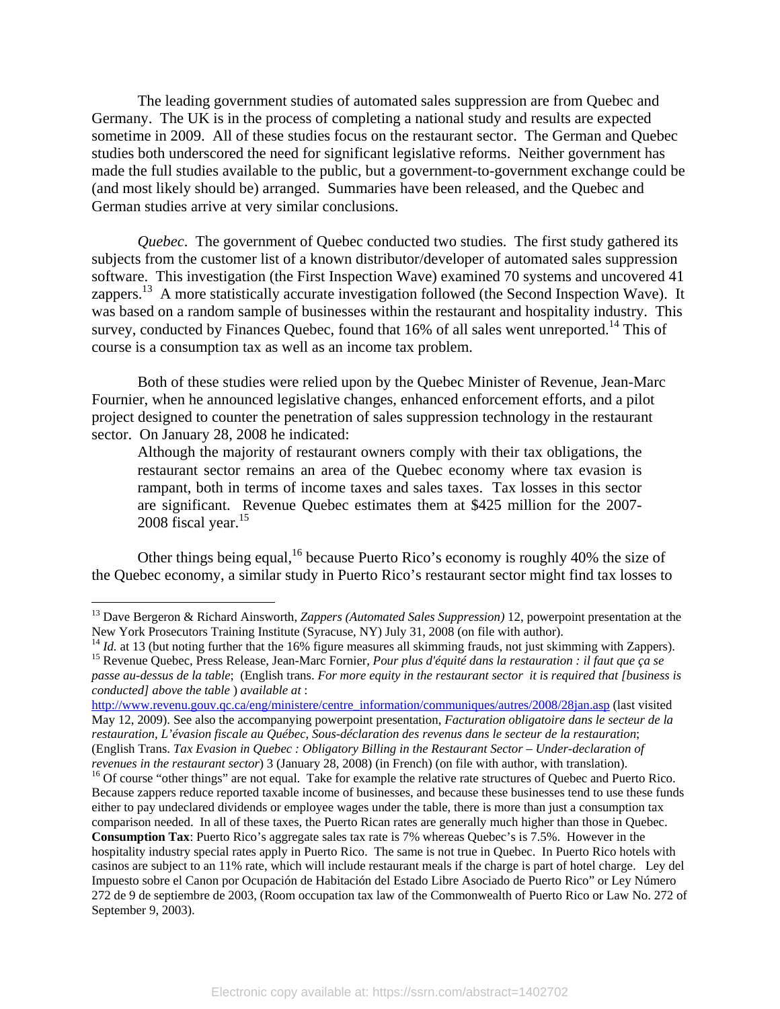The leading government studies of automated sales suppression are from Quebec and Germany. The UK is in the process of completing a national study and results are expected sometime in 2009. All of these studies focus on the restaurant sector. The German and Quebec studies both underscored the need for significant legislative reforms. Neither government has made the full studies available to the public, but a government-to-government exchange could be (and most likely should be) arranged. Summaries have been released, and the Quebec and German studies arrive at very similar conclusions.

*Quebec*. The government of Quebec conducted two studies. The first study gathered its subjects from the customer list of a known distributor/developer of automated sales suppression software. This investigation (the First Inspection Wave) examined 70 systems and uncovered 41 zappers.13 A more statistically accurate investigation followed (the Second Inspection Wave). It was based on a random sample of businesses within the restaurant and hospitality industry. This survey, conducted by Finances Quebec, found that  $16\%$  of all sales went unreported.<sup>14</sup> This of course is a consumption tax as well as an income tax problem.

 Both of these studies were relied upon by the Quebec Minister of Revenue, Jean-Marc Fournier, when he announced legislative changes, enhanced enforcement efforts, and a pilot project designed to counter the penetration of sales suppression technology in the restaurant sector. On January 28, 2008 he indicated:

Although the majority of restaurant owners comply with their tax obligations, the restaurant sector remains an area of the Quebec economy where tax evasion is rampant, both in terms of income taxes and sales taxes. Tax losses in this sector are significant. Revenue Quebec estimates them at \$425 million for the 2007- 2008 fiscal year. $15$ 

Other things being equal,<sup>16</sup> because Puerto Rico's economy is roughly 40% the size of the Quebec economy, a similar study in Puerto Rico's restaurant sector might find tax losses to

 $\overline{a}$ 

http://www.revenu.gouv.qc.ca/eng/ministere/centre\_information/communiques/autres/2008/28jan.asp (last visited May 12, 2009). See also the accompanying powerpoint presentation, *Facturation obligatoire dans le secteur de la restauration, L'évasion fiscale au Québec, Sous-déclaration des revenus dans le secteur de la restauration*; (English Trans. *Tax Evasion in Quebec : Obligatory Billing in the Restaurant Sector – Under-declaration of* 

*revenues in the restaurant sector*) 3 (January 28, 2008) (in French) (on file with author, with translation).<br><sup>16</sup> Of course "other things" are not equal. Take for example the relative rate structures of Quebec and Puerto Because zappers reduce reported taxable income of businesses, and because these businesses tend to use these funds either to pay undeclared dividends or employee wages under the table, there is more than just a consumption tax comparison needed. In all of these taxes, the Puerto Rican rates are generally much higher than those in Quebec. **Consumption Tax**: Puerto Rico's aggregate sales tax rate is 7% whereas Quebec's is 7.5%. However in the hospitality industry special rates apply in Puerto Rico. The same is not true in Quebec. In Puerto Rico hotels with casinos are subject to an 11% rate, which will include restaurant meals if the charge is part of hotel charge. Ley del Impuesto sobre el Canon por Ocupación de Habitación del Estado Libre Asociado de Puerto Rico" or Ley Número 272 de 9 de septiembre de 2003, (Room occupation tax law of the Commonwealth of Puerto Rico or Law No. 272 of September 9, 2003).

<sup>&</sup>lt;sup>13</sup> Dave Bergeron & Richard Ainsworth, *Zappers (Automated Sales Suppression)* 12, powerpoint presentation at the New York Prosecutors Training Institute (Syracuse, NY) July 31, 2008 (on file with author).

<sup>&</sup>lt;sup>14</sup> *Id.* at 13 (but noting further that the 16% figure measures all skimming frauds, not just skimming with Zappers).<br><sup>15</sup> Revenue Quebec, Press Release, Jean-Marc Fornier, *Pour plus d'équité dans la restauration : il* 

*passe au-dessus de la table*; (English trans. *For more equity in the restaurant sector it is required that [business is conducted] above the table* ) *available at* :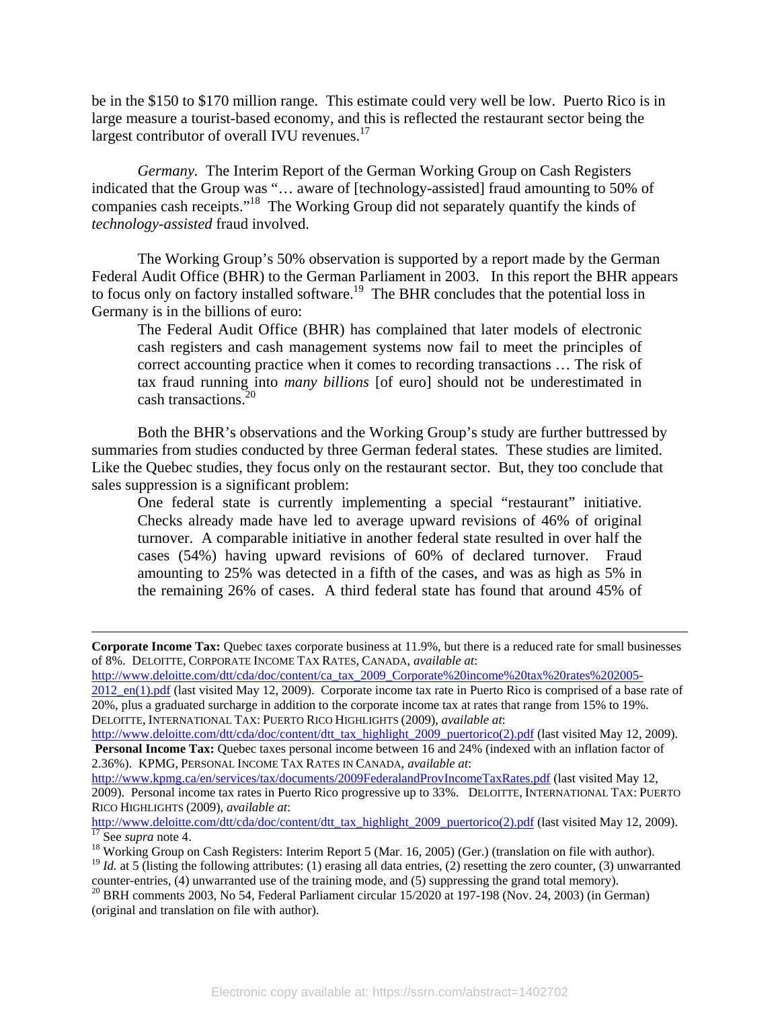be in the \$150 to \$170 million range. This estimate could very well be low. Puerto Rico is in large measure a tourist-based economy, and this is reflected the restaurant sector being the largest contributor of overall IVU revenues.<sup>17</sup>

*Germany.* The Interim Report of the German Working Group on Cash Registers indicated that the Group was "… aware of [technology-assisted] fraud amounting to 50% of companies cash receipts."18 The Working Group did not separately quantify the kinds of *technology-assisted* fraud involved.

The Working Group's 50% observation is supported by a report made by the German Federal Audit Office (BHR) to the German Parliament in 2003. In this report the BHR appears to focus only on factory installed software.<sup>19</sup> The BHR concludes that the potential loss in Germany is in the billions of euro:

The Federal Audit Office (BHR) has complained that later models of electronic cash registers and cash management systems now fail to meet the principles of correct accounting practice when it comes to recording transactions … The risk of tax fraud running into *many billions* [of euro] should not be underestimated in cash transactions.<sup>20</sup>

Both the BHR's observations and the Working Group's study are further buttressed by summaries from studies conducted by three German federal states*.* These studies are limited. Like the Quebec studies, they focus only on the restaurant sector. But, they too conclude that sales suppression is a significant problem:

One federal state is currently implementing a special "restaurant" initiative. Checks already made have led to average upward revisions of 46% of original turnover. A comparable initiative in another federal state resulted in over half the cases (54%) having upward revisions of 60% of declared turnover. Fraud amounting to 25% was detected in a fifth of the cases, and was as high as 5% in the remaining 26% of cases. A third federal state has found that around 45% of

**Corporate Income Tax:** Quebec taxes corporate business at 11.9%, but there is a reduced rate for small businesses of 8%. DELOITTE, CORPORATE INCOME TAX RATES, CANADA, *available at*:

http://www.deloitte.com/dtt/cda/doc/content/ca\_tax\_2009\_Corporate%20income%20tax%20rates%202005-

 $2012$  en(1).pdf (last visited May 12, 2009). Corporate income tax rate in Puerto Rico is comprised of a base rate of 20%, plus a graduated surcharge in addition to the corporate income tax at rates that range from 15% to 19%. DELOITTE, INTERNATIONAL TAX: PUERTO RICO HIGHLIGHTS (2009), *available at*:

http://www.deloitte.com/dtt/cda/doc/content/dtt\_tax\_highlight\_2009\_puertorico(2).pdf (last visited May 12, 2009). **Personal Income Tax:** Quebec taxes personal income between 16 and 24% (indexed with an inflation factor of 2.36%). KPMG, PERSONAL INCOME TAX RATES IN CANADA, *available at*:

http://www.kpmg.ca/en/services/tax/documents/2009FederalandProvIncomeTaxRates.pdf (last visited May 12, 2009). Personal income tax rates in Puerto Rico progressive up to 33%. DELOITTE, INTERNATIONAL TAX: PUERTO RICO HIGHLIGHTS (2009), *available at*:<br>http://www.deloitte.com/dtt/cda/doc/content/dtt tax highlight 2009 puertorico(2).pdf (last visited May 12, 2009).

<sup>&</sup>lt;sup>17</sup> See *supra* note 4.<br><sup>18</sup> Working Group on Cash Registers: Interim Report 5 (Mar. 16, 2005) (Ger.) (translation on file with author).

<sup>&</sup>lt;sup>19</sup> *Id.* at 5 (listing the following attributes: (1) erasing all data entries, (2) resetting the zero counter, (3) unwarranted counter-entries, (4) unwarranted use of the training mode, and (5) suppressing the grand total memory).

 $^{20}$  BRH comments 2003, No 54, Federal Parliament circular 15/2020 at 197-198 (Nov. 24, 2003) (in German) (original and translation on file with author).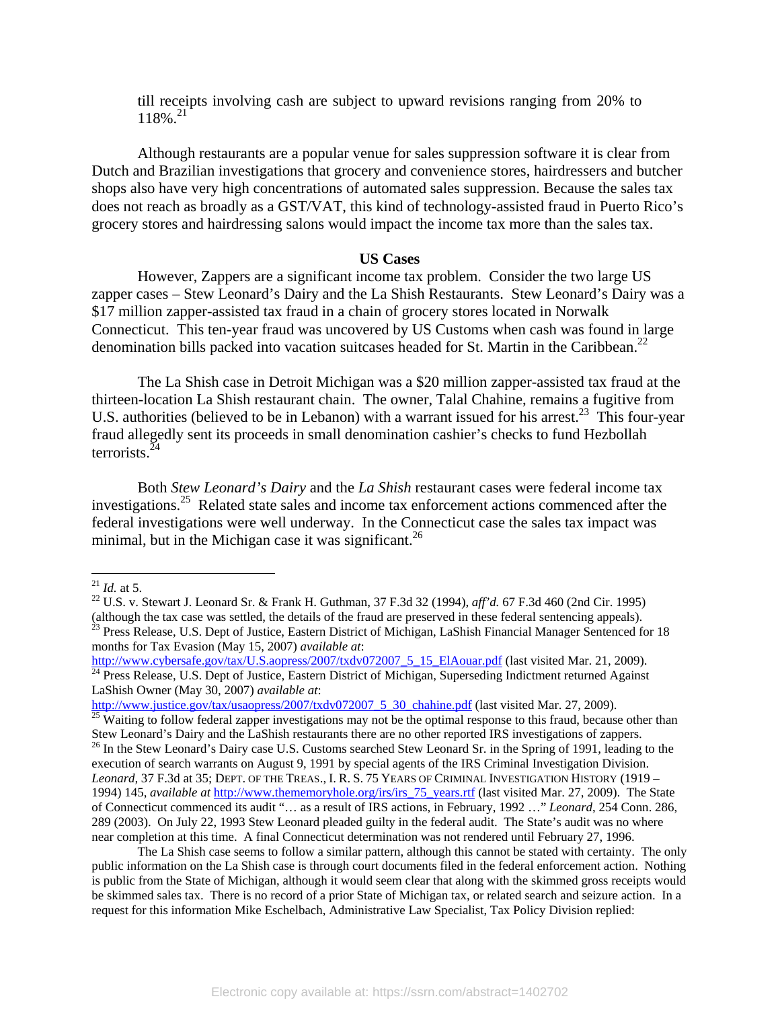till receipts involving cash are subject to upward revisions ranging from 20% to  $118\%$ <sup>21</sup>

Although restaurants are a popular venue for sales suppression software it is clear from Dutch and Brazilian investigations that grocery and convenience stores, hairdressers and butcher shops also have very high concentrations of automated sales suppression. Because the sales tax does not reach as broadly as a GST/VAT, this kind of technology-assisted fraud in Puerto Rico's grocery stores and hairdressing salons would impact the income tax more than the sales tax.

#### **US Cases**

However, Zappers are a significant income tax problem. Consider the two large US zapper cases – Stew Leonard's Dairy and the La Shish Restaurants. Stew Leonard's Dairy was a \$17 million zapper-assisted tax fraud in a chain of grocery stores located in Norwalk Connecticut. This ten-year fraud was uncovered by US Customs when cash was found in large denomination bills packed into vacation suitcases headed for St. Martin in the Caribbean.<sup>22</sup>

The La Shish case in Detroit Michigan was a \$20 million zapper-assisted tax fraud at the thirteen-location La Shish restaurant chain. The owner, Talal Chahine, remains a fugitive from U.S. authorities (believed to be in Lebanon) with a warrant issued for his arrest.<sup>23</sup> This four-year fraud allegedly sent its proceeds in small denomination cashier's checks to fund Hezbollah terrorists.24

Both *Stew Leonard's Dairy* and the *La Shish* restaurant cases were federal income tax investigations.25 Related state sales and income tax enforcement actions commenced after the federal investigations were well underway. In the Connecticut case the sales tax impact was minimal, but in the Michigan case it was significant.<sup>26</sup>

LaShish Owner (May 30, 2007) *available at*:

 $\frac{25}{25}$  Waiting to follow federal zapper investigations may not be the optimal response to this fraud, because other than Stew Leonard's Dairy and the LaShish restaurants there are no other reported IRS investigations of zappers. <sup>26</sup> In the Stew Leonard's Dairy case U.S. Customs searched Stew Leonard Sr. in the Spring of 1991, leading to the execution of search warrants on August 9, 1991 by special agents of the IRS Criminal Investigation Division. *Leonard,* 37 F.3d at 35; DEPT. OF THE TREAS., I. R. S. 75 YEARS OF CRIMINAL INVESTIGATION HISTORY (1919 – 1994) 145, *available at* http://www.thememoryhole.org/irs/irs\_75\_years.rtf (last visited Mar. 27, 2009). The State of Connecticut commenced its audit "… as a result of IRS actions, in February, 1992 …" *Leonard*, 254 Conn. 286, 289 (2003). On July 22, 1993 Stew Leonard pleaded guilty in the federal audit. The State's audit was no where near completion at this time. A final Connecticut determination was not rendered until February 27, 1996.

The La Shish case seems to follow a similar pattern, although this cannot be stated with certainty. The only public information on the La Shish case is through court documents filed in the federal enforcement action. Nothing is public from the State of Michigan, although it would seem clear that along with the skimmed gross receipts would be skimmed sales tax. There is no record of a prior State of Michigan tax, or related search and seizure action. In a request for this information Mike Eschelbach, Administrative Law Specialist, Tax Policy Division replied:

<sup>&</sup>lt;sup>21</sup> *Id.* at 5.

<sup>&</sup>lt;sup>22</sup> U.S. v. Stewart J. Leonard Sr. & Frank H. Guthman, 37 F.3d 32 (1994), *aff'd*. 67 F.3d 460 (2nd Cir. 1995) (although the tax case was settled, the details of the fraud are preserved in these federal sentencing appeal <sup>23</sup> Press Release, U.S. Dept of Justice, Eastern District of Michigan, LaShish Financial Manager Sentenced for 18

months for Tax Evasion (May 15, 2007) *available at*:<br>http://www.cybersafe.gov/tax/U.S.aopress/2007/txdv072007\_5\_15\_ElAouar.pdf (last visited Mar. 21, 2009). <sup>24</sup> Press Release, U.S. Dept of Justice, Eastern District of Michigan, Superseding Indictment returned Against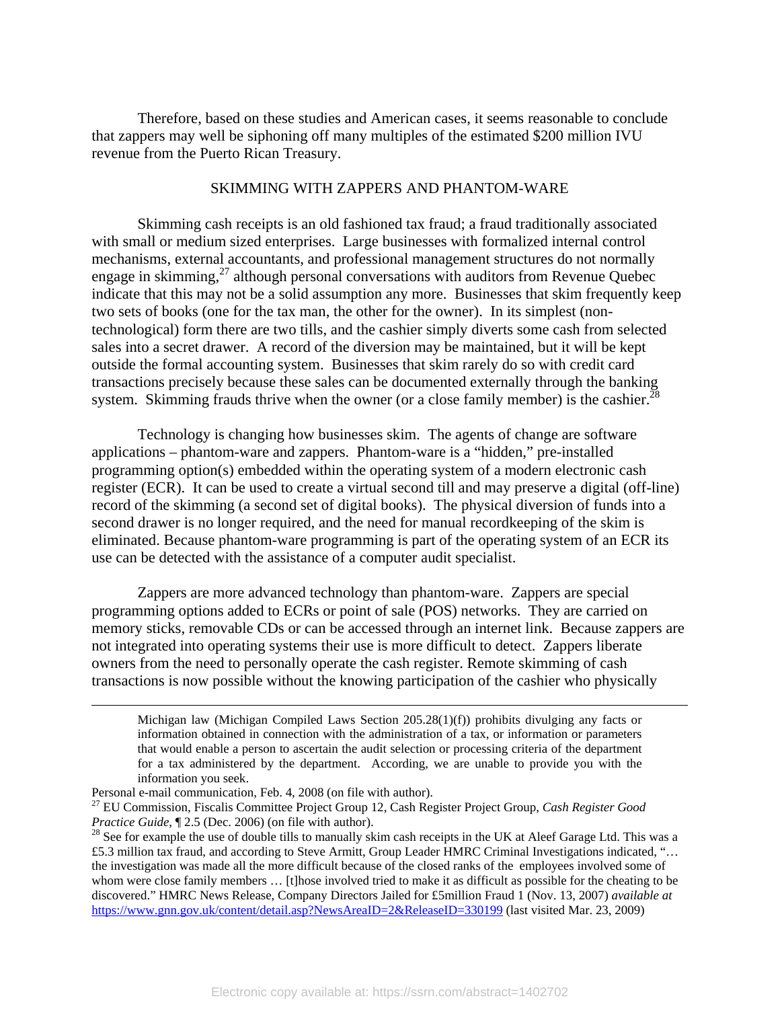Therefore, based on these studies and American cases, it seems reasonable to conclude that zappers may well be siphoning off many multiples of the estimated \$200 million IVU revenue from the Puerto Rican Treasury.

## SKIMMING WITH ZAPPERS AND PHANTOM-WARE

Skimming cash receipts is an old fashioned tax fraud; a fraud traditionally associated with small or medium sized enterprises. Large businesses with formalized internal control mechanisms, external accountants, and professional management structures do not normally engage in skimming, $^{27}$  although personal conversations with auditors from Revenue Quebec indicate that this may not be a solid assumption any more. Businesses that skim frequently keep two sets of books (one for the tax man, the other for the owner). In its simplest (nontechnological) form there are two tills, and the cashier simply diverts some cash from selected sales into a secret drawer. A record of the diversion may be maintained, but it will be kept outside the formal accounting system. Businesses that skim rarely do so with credit card transactions precisely because these sales can be documented externally through the banking system. Skimming frauds thrive when the owner (or a close family member) is the cashier.<sup>28</sup>

 Technology is changing how businesses skim. The agents of change are software applications – phantom-ware and zappers. Phantom-ware is a "hidden," pre-installed programming option(s) embedded within the operating system of a modern electronic cash register (ECR). It can be used to create a virtual second till and may preserve a digital (off-line) record of the skimming (a second set of digital books). The physical diversion of funds into a second drawer is no longer required, and the need for manual recordkeeping of the skim is eliminated. Because phantom-ware programming is part of the operating system of an ECR its use can be detected with the assistance of a computer audit specialist.

Zappers are more advanced technology than phantom-ware. Zappers are special programming options added to ECRs or point of sale (POS) networks. They are carried on memory sticks, removable CDs or can be accessed through an internet link. Because zappers are not integrated into operating systems their use is more difficult to detect. Zappers liberate owners from the need to personally operate the cash register. Remote skimming of cash transactions is now possible without the knowing participation of the cashier who physically

Michigan law (Michigan Compiled Laws Section 205.28(1)(f)) prohibits divulging any facts or information obtained in connection with the administration of a tax, or information or parameters that would enable a person to ascertain the audit selection or processing criteria of the department for a tax administered by the department. According, we are unable to provide you with the information you seek.

Personal e-mail communication, Feb. 4, 2008 (on file with author).

<sup>&</sup>lt;sup>27</sup> EU Commission, Fiscalis Committee Project Group 12, Cash Register Project Group, *Cash Register Good Practice Guide*, **1** 2.5 (Dec. 2006) (on file with author).

<sup>&</sup>lt;sup>28</sup> See for example the use of double tills to manually skim cash receipts in the UK at Aleef Garage Ltd. This was a £5.3 million tax fraud, and according to Steve Armitt, Group Leader HMRC Criminal Investigations indicated, "… the investigation was made all the more difficult because of the closed ranks of the employees involved some of whom were close family members ... [t]hose involved tried to make it as difficult as possible for the cheating to be discovered." HMRC News Release, Company Directors Jailed for £5million Fraud 1 (Nov. 13, 2007) *available at* https://www.gnn.gov.uk/content/detail.asp?NewsAreaID=2&ReleaseID=330199 (last visited Mar. 23, 2009)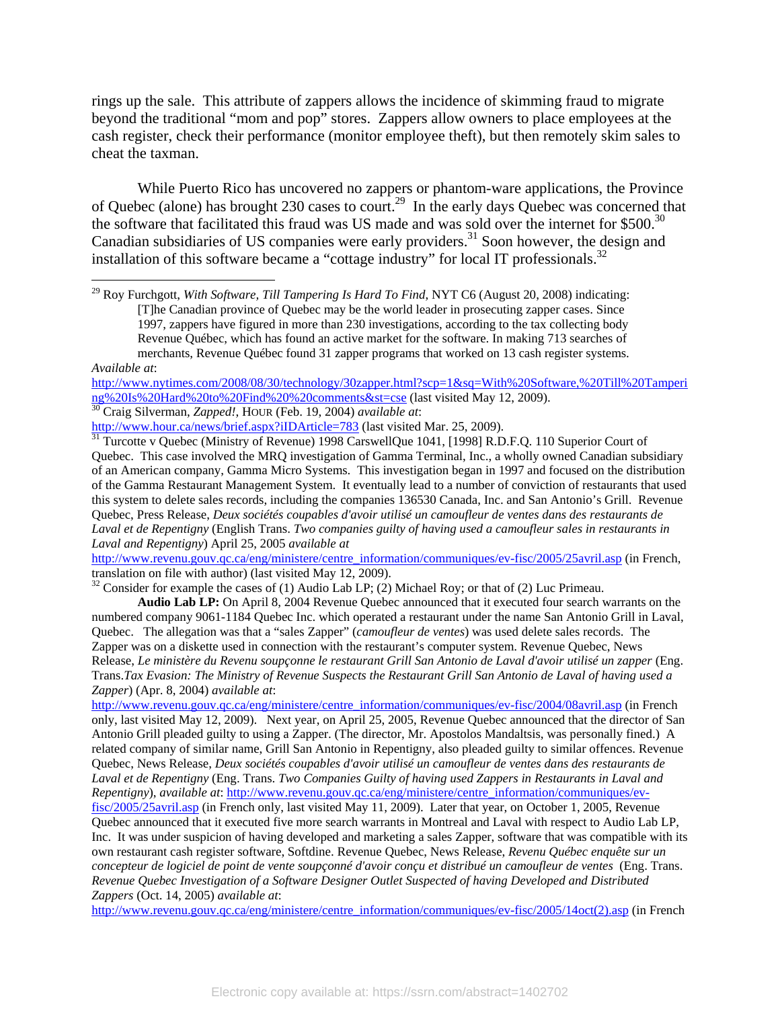rings up the sale. This attribute of zappers allows the incidence of skimming fraud to migrate beyond the traditional "mom and pop" stores. Zappers allow owners to place employees at the cash register, check their performance (monitor employee theft), but then remotely skim sales to cheat the taxman.

While Puerto Rico has uncovered no zappers or phantom-ware applications, the Province of Quebec (alone) has brought 230 cases to court.<sup>29</sup> In the early days Quebec was concerned that the software that facilitated this fraud was US made and was sold over the internet for  $$500.<sup>30</sup>$ Canadian subsidiaries of US companies were early providers.<sup>31</sup> Soon however, the design and installation of this software became a "cottage industry" for local IT professionals.<sup>32</sup>

*Available at*:

 $\overline{a}$ 

http://www.nytimes.com/2008/08/30/technology/30zapper.html?scp=1&sq=With%20Software,%20Till%20Tamperi<br>ng%20Is%20Hard%20to%20Find%20%20comments&st=cse (last visited May 12, 2009). ng%20Is%20Hard%20to%20Find%20%20comments&st=cse (last visited May 12, 2009). 30 Craig Silverman, *Zapped!*, HOUR (Feb. 19, 2004) *available at*:

http://www.hour.ca/news/brief.aspx?iIDArticle=783 (last visited Mar. 25, 2009).<br><sup>31</sup> Turcotte v Quebec (Ministry of Revenue) 1998 CarswellQue 1041, [1998] R.D.F.Q. 110 Superior Court of Quebec. This case involved the MRQ investigation of Gamma Terminal, Inc., a wholly owned Canadian subsidiary of an American company, Gamma Micro Systems. This investigation began in 1997 and focused on the distribution of the Gamma Restaurant Management System. It eventually lead to a number of conviction of restaurants that used this system to delete sales records, including the companies 136530 Canada, Inc. and San Antonio's Grill. Revenue Quebec, Press Release, *Deux sociétés coupables d'avoir utilisé un camoufleur de ventes dans des restaurants de Laval et de Repentigny* (English Trans. *Two companies guilty of having used a camoufleur sales in restaurants in Laval and Repentigny*) April 25, 2005 *available at* 

http://www.revenu.gouv.qc.ca/eng/ministere/centre\_information/communiques/ev-fisc/2005/25avril.asp (in French, translation on file with author) (last visited May 12, 2009).

 $32$  Consider for example the cases of (1) Audio Lab LP; (2) Michael Roy; or that of (2) Luc Primeau.

**Audio Lab LP:** On April 8, 2004 Revenue Quebec announced that it executed four search warrants on the numbered company 9061-1184 Quebec Inc. which operated a restaurant under the name San Antonio Grill in Laval, Quebec. The allegation was that a "sales Zapper" (*camoufleur de ventes*) was used delete sales records. The Zapper was on a diskette used in connection with the restaurant's computer system. Revenue Quebec, News Release, *Le ministère du Revenu soupçonne le restaurant Grill San Antonio de Laval d'avoir utilisé un zapper* (Eng. Trans.*Tax Evasion: The Ministry of Revenue Suspects the Restaurant Grill San Antonio de Laval of having used a Zapper*) (Apr. 8, 2004) *available at*:

http://www.revenu.gouv.qc.ca/eng/ministere/centre\_information/communiques/ev-fisc/2004/08avril.asp (in French only, last visited May 12, 2009). Next year, on April 25, 2005, Revenue Quebec announced that the director of San Antonio Grill pleaded guilty to using a Zapper. (The director, Mr. Apostolos Mandaltsis, was personally fined.) A related company of similar name, Grill San Antonio in Repentigny, also pleaded guilty to similar offences. Revenue Quebec, News Release, *Deux sociétés coupables d'avoir utilisé un camoufleur de ventes dans des restaurants de Laval et de Repentigny* (Eng. Trans. *Two Companies Guilty of having used Zappers in Restaurants in Laval and Repentigny*), *available at*: http://www.revenu.gouv.qc.ca/eng/ministere/centre\_information/communiques/evfisc/2005/25avril.asp (in French only, last visited May 11, 2009). Later that year, on October 1, 2005, Revenue Quebec announced that it executed five more search warrants in Montreal and Laval with respect to Audio Lab LP, Inc. It was under suspicion of having developed and marketing a sales Zapper, software that was compatible with its own restaurant cash register software, Softdine. Revenue Quebec, News Release, *Revenu Québec enquête sur un concepteur de logiciel de point de vente soupçonné d'avoir conçu et distribué un camoufleur de ventes* (Eng. Trans. *Revenue Quebec Investigation of a Software Designer Outlet Suspected of having Developed and Distributed Zappers* (Oct. 14, 2005) *available at*:

http://www.revenu.gouv.qc.ca/eng/ministere/centre\_information/communiques/ev-fisc/2005/14oct(2).asp (in French

<sup>29</sup> Roy Furchgott, *With Software, Till Tampering Is Hard To Find*, NYT C6 (August 20, 2008) indicating: [T]he Canadian province of Quebec may be the world leader in prosecuting zapper cases. Since 1997, zappers have figured in more than 230 investigations, according to the tax collecting body Revenue Québec, which has found an active market for the software. In making 713 searches of merchants, Revenue Québec found 31 zapper programs that worked on 13 cash register systems.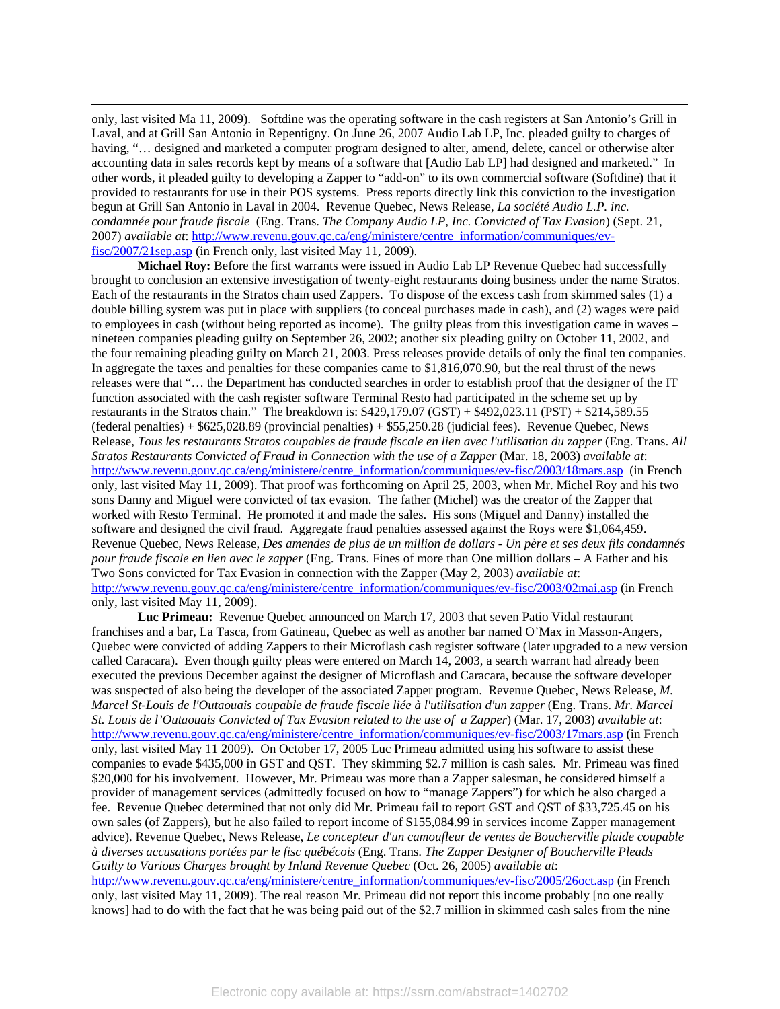only, last visited Ma 11, 2009). Softdine was the operating software in the cash registers at San Antonio's Grill in Laval, and at Grill San Antonio in Repentigny. On June 26, 2007 Audio Lab LP, Inc. pleaded guilty to charges of having, "... designed and marketed a computer program designed to alter, amend, delete, cancel or otherwise alter accounting data in sales records kept by means of a software that [Audio Lab LP] had designed and marketed." In other words, it pleaded guilty to developing a Zapper to "add-on" to its own commercial software (Softdine) that it provided to restaurants for use in their POS systems. Press reports directly link this conviction to the investigation begun at Grill San Antonio in Laval in 2004. Revenue Quebec, News Release, *La société Audio L.P. inc. condamnée pour fraude fiscale* (Eng. Trans. *The Company Audio LP, Inc. Convicted of Tax Evasion*) (Sept. 21, 2007) *available at*: http://www.revenu.gouv.qc.ca/eng/ministere/centre\_information/communiques/evfisc/2007/21sep.asp (in French only, last visited May 11, 2009).

**Michael Roy:** Before the first warrants were issued in Audio Lab LP Revenue Quebec had successfully brought to conclusion an extensive investigation of twenty-eight restaurants doing business under the name Stratos. Each of the restaurants in the Stratos chain used Zappers. To dispose of the excess cash from skimmed sales (1) a double billing system was put in place with suppliers (to conceal purchases made in cash), and (2) wages were paid to employees in cash (without being reported as income). The guilty pleas from this investigation came in waves – nineteen companies pleading guilty on September 26, 2002; another six pleading guilty on October 11, 2002, and the four remaining pleading guilty on March 21, 2003. Press releases provide details of only the final ten companies. In aggregate the taxes and penalties for these companies came to \$1,816,070.90, but the real thrust of the news releases were that "… the Department has conducted searches in order to establish proof that the designer of the IT function associated with the cash register software Terminal Resto had participated in the scheme set up by restaurants in the Stratos chain." The breakdown is: \$429,179.07 (GST) + \$492,023.11 (PST) + \$214,589.55 (federal penalties) + \$625,028.89 (provincial penalties) + \$55,250.28 (judicial fees). Revenue Quebec, News Release, *Tous les restaurants Stratos coupables de fraude fiscale en lien avec l'utilisation du zapper* (Eng. Trans. *All Stratos Restaurants Convicted of Fraud in Connection with the use of a Zapper* (Mar. 18, 2003) *available at*: http://www.revenu.gouv.qc.ca/eng/ministere/centre\_information/communiques/ev-fisc/2003/18mars.asp (in French only, last visited May 11, 2009). That proof was forthcoming on April 25, 2003, when Mr. Michel Roy and his two sons Danny and Miguel were convicted of tax evasion. The father (Michel) was the creator of the Zapper that worked with Resto Terminal. He promoted it and made the sales. His sons (Miguel and Danny) installed the software and designed the civil fraud. Aggregate fraud penalties assessed against the Roys were \$1,064,459. Revenue Quebec, News Release, *Des amendes de plus de un million de dollars - Un père et ses deux fils condamnés pour fraude fiscale en lien avec le zapper* (Eng. Trans. Fines of more than One million dollars – A Father and his Two Sons convicted for Tax Evasion in connection with the Zapper (May 2, 2003) *available at*: http://www.revenu.gouv.qc.ca/eng/ministere/centre\_information/communiques/ev-fisc/2003/02mai.asp (in French only, last visited May 11, 2009).

Luc Primeau: Revenue Quebec announced on March 17, 2003 that seven Patio Vidal restaurant franchises and a bar, La Tasca, from Gatineau, Quebec as well as another bar named O'Max in Masson-Angers, Quebec were convicted of adding Zappers to their Microflash cash register software (later upgraded to a new version called Caracara). Even though guilty pleas were entered on March 14, 2003, a search warrant had already been executed the previous December against the designer of Microflash and Caracara, because the software developer was suspected of also being the developer of the associated Zapper program. Revenue Quebec, News Release, *M. Marcel St-Louis de l'Outaouais coupable de fraude fiscale liée à l'utilisation d'un zapper* (Eng. Trans. *Mr. Marcel St. Louis de l'Outaouais Convicted of Tax Evasion related to the use of a Zapper*) (Mar. 17, 2003) *available at*: http://www.revenu.gouv.qc.ca/eng/ministere/centre\_information/communiques/ev-fisc/2003/17mars.asp (in French only, last visited May 11 2009). On October 17, 2005 Luc Primeau admitted using his software to assist these companies to evade \$435,000 in GST and QST. They skimming \$2.7 million is cash sales. Mr. Primeau was fined \$20,000 for his involvement. However, Mr. Primeau was more than a Zapper salesman, he considered himself a provider of management services (admittedly focused on how to "manage Zappers") for which he also charged a fee. Revenue Quebec determined that not only did Mr. Primeau fail to report GST and QST of \$33,725.45 on his own sales (of Zappers), but he also failed to report income of \$155,084.99 in services income Zapper management advice). Revenue Quebec, News Release, *Le concepteur d'un camoufleur de ventes de Boucherville plaide coupable à diverses accusations portées par le fisc québécois* (Eng. Trans. *The Zapper Designer of Boucherville Pleads Guilty to Various Charges brought by Inland Revenue Quebec* (Oct. 26, 2005) *available at*: http://www.revenu.gouv.qc.ca/eng/ministere/centre\_information/communiques/ev-fisc/2005/26oct.asp (in French

only, last visited May 11, 2009). The real reason Mr. Primeau did not report this income probably [no one really knows] had to do with the fact that he was being paid out of the \$2.7 million in skimmed cash sales from the nine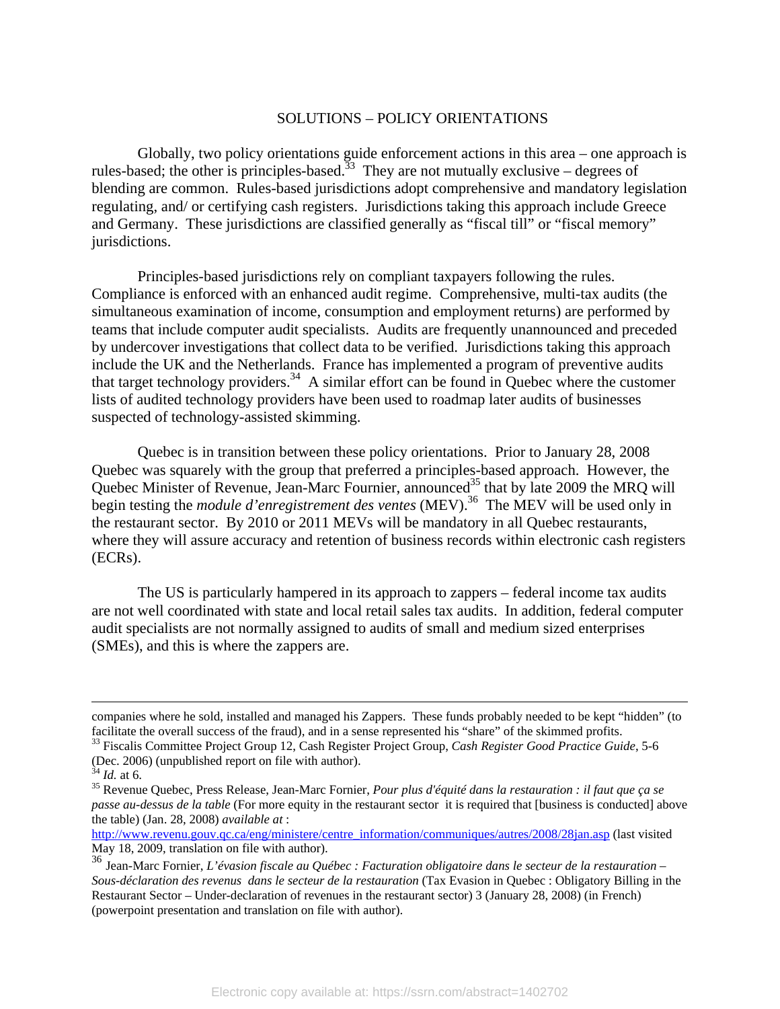#### SOLUTIONS – POLICY ORIENTATIONS

Globally, two policy orientations guide enforcement actions in this area – one approach is rules-based; the other is principles-based.<sup>33</sup> They are not mutually exclusive – degrees of blending are common. Rules-based jurisdictions adopt comprehensive and mandatory legislation regulating, and/ or certifying cash registers. Jurisdictions taking this approach include Greece and Germany. These jurisdictions are classified generally as "fiscal till" or "fiscal memory" jurisdictions.

Principles-based jurisdictions rely on compliant taxpayers following the rules. Compliance is enforced with an enhanced audit regime. Comprehensive, multi-tax audits (the simultaneous examination of income, consumption and employment returns) are performed by teams that include computer audit specialists. Audits are frequently unannounced and preceded by undercover investigations that collect data to be verified. Jurisdictions taking this approach include the UK and the Netherlands. France has implemented a program of preventive audits that target technology providers.<sup>34</sup> A similar effort can be found in Quebec where the customer lists of audited technology providers have been used to roadmap later audits of businesses suspected of technology-assisted skimming.

Quebec is in transition between these policy orientations. Prior to January 28, 2008 Quebec was squarely with the group that preferred a principles-based approach. However, the Quebec Minister of Revenue, Jean-Marc Fournier, announced<sup>35</sup> that by late 2009 the MRQ will begin testing the *module d'enregistrement des ventes* (MEV).<sup>36</sup> The MEV will be used only in the restaurant sector. By 2010 or 2011 MEVs will be mandatory in all Quebec restaurants, where they will assure accuracy and retention of business records within electronic cash registers (ECRs).

The US is particularly hampered in its approach to zappers – federal income tax audits are not well coordinated with state and local retail sales tax audits. In addition, federal computer audit specialists are not normally assigned to audits of small and medium sized enterprises (SMEs), and this is where the zappers are.

companies where he sold, installed and managed his Zappers. These funds probably needed to be kept "hidden" (to facilitate the overall success of the fraud), and in a sense represented his "share" of the skimmed profits. 33 Fiscalis Committee Project Group 12, Cash Register Project Group, *Cash Register Good Practice Guide*, 5-6

<sup>(</sup>Dec. 2006) (unpublished report on file with author).  $^{34}$  *Id.* at 6.

<sup>&</sup>lt;sup>35</sup> Revenue Quebec, Press Release, Jean-Marc Fornier, *Pour plus d'équité dans la restauration : il faut que ça se passe au-dessus de la table* (For more equity in the restaurant sector it is required that [business is conducted] above the table) (Jan. 28, 2008) *available at* :

http://www.revenu.gouv.qc.ca/eng/ministere/centre\_information/communiques/autres/2008/28jan.asp (last visited May 18, 2009, translation on file with author).

<sup>36</sup> Jean-Marc Fornier, *L'évasion fiscale au Québec : Facturation obligatoire dans le secteur de la restauration – Sous-déclaration des revenus dans le secteur de la restauration* (Tax Evasion in Quebec : Obligatory Billing in the Restaurant Sector – Under-declaration of revenues in the restaurant sector) 3 (January 28, 2008) (in French) (powerpoint presentation and translation on file with author).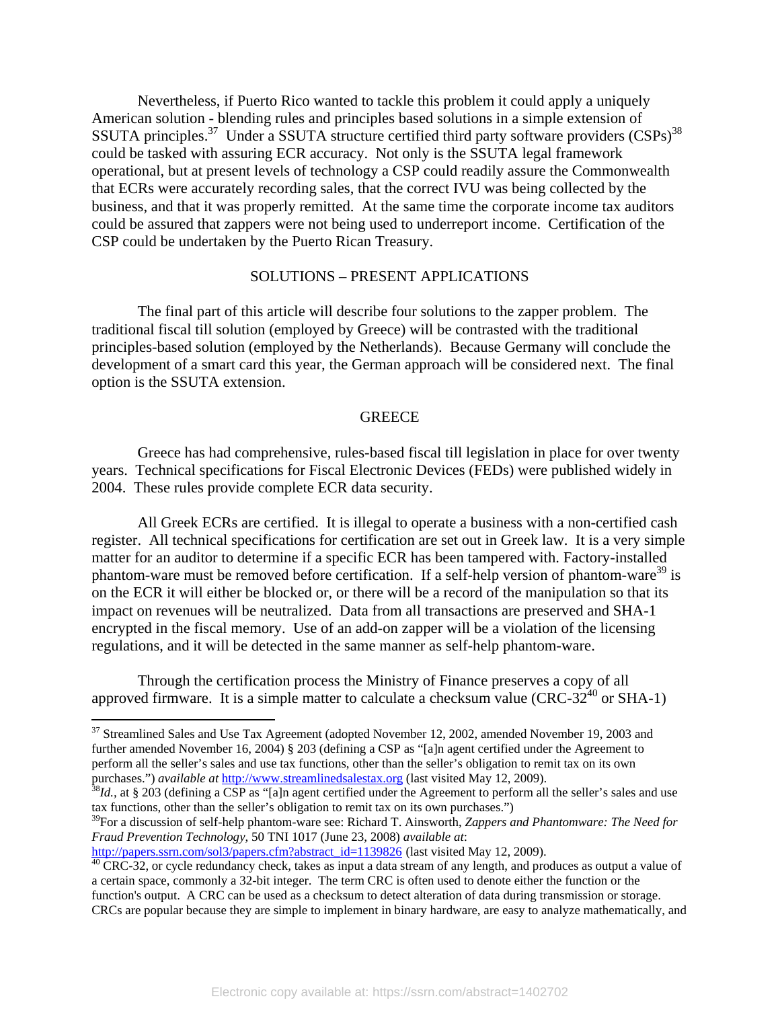Nevertheless, if Puerto Rico wanted to tackle this problem it could apply a uniquely American solution - blending rules and principles based solutions in a simple extension of SSUTA principles.<sup>37</sup> Under a SSUTA structure certified third party software providers  $(CSPs)^{38}$ could be tasked with assuring ECR accuracy. Not only is the SSUTA legal framework operational, but at present levels of technology a CSP could readily assure the Commonwealth that ECRs were accurately recording sales, that the correct IVU was being collected by the business, and that it was properly remitted. At the same time the corporate income tax auditors could be assured that zappers were not being used to underreport income. Certification of the CSP could be undertaken by the Puerto Rican Treasury.

#### SOLUTIONS – PRESENT APPLICATIONS

 The final part of this article will describe four solutions to the zapper problem. The traditional fiscal till solution (employed by Greece) will be contrasted with the traditional principles-based solution (employed by the Netherlands). Because Germany will conclude the development of a smart card this year, the German approach will be considered next. The final option is the SSUTA extension.

#### **GREECE**

Greece has had comprehensive, rules-based fiscal till legislation in place for over twenty years. Technical specifications for Fiscal Electronic Devices (FEDs) were published widely in 2004. These rules provide complete ECR data security.

All Greek ECRs are certified. It is illegal to operate a business with a non-certified cash register. All technical specifications for certification are set out in Greek law. It is a very simple matter for an auditor to determine if a specific ECR has been tampered with. Factory-installed phantom-ware must be removed before certification. If a self-help version of phantom-ware<sup>39</sup> is on the ECR it will either be blocked or, or there will be a record of the manipulation so that its impact on revenues will be neutralized. Data from all transactions are preserved and SHA-1 encrypted in the fiscal memory. Use of an add-on zapper will be a violation of the licensing regulations, and it will be detected in the same manner as self-help phantom-ware.

Through the certification process the Ministry of Finance preserves a copy of all approved firmware. It is a simple matter to calculate a checksum value  $(CRC-32^{40})$  or SHA-1)

39For a discussion of self-help phantom-ware see: Richard T. Ainsworth, *Zappers and Phantomware: The Need for Fraud Prevention Technology*, 50 TNI 1017 (June 23, 2008) *available at*:

<sup>&</sup>lt;sup>37</sup> Streamlined Sales and Use Tax Agreement (adopted November 12, 2002, amended November 19, 2003 and further amended November 16, 2004) § 203 (defining a CSP as "[a]n agent certified under the Agreement to perform all the seller's sales and use tax functions, other than the seller's obligation to remit tax on its own purchases.") *available at* http://www.streamlinedsalestax.org (last visited May 12, 2009).

 $38$ *Id.*, at § 203 (defining a  $\overline{CSP}$  as "[a]n agent certified under the Agreement to perform all the seller's sales and use tax functions, other than the seller's obligation to remit tax on its own purchases.")

http://papers.ssrn.com/sol3/papers.cfm?abstract\_id=1139826 (last visited May 12, 2009).<br><sup>40</sup> CRC-32, or cycle redundancy check, takes as input a data stream of any length, and produces as output a value of a certain space, commonly a 32-bit integer. The term CRC is often used to denote either the function or the function's output. A CRC can be used as a checksum to detect alteration of data during transmission or storage. CRCs are popular because they are simple to implement in binary hardware, are easy to analyze mathematically, and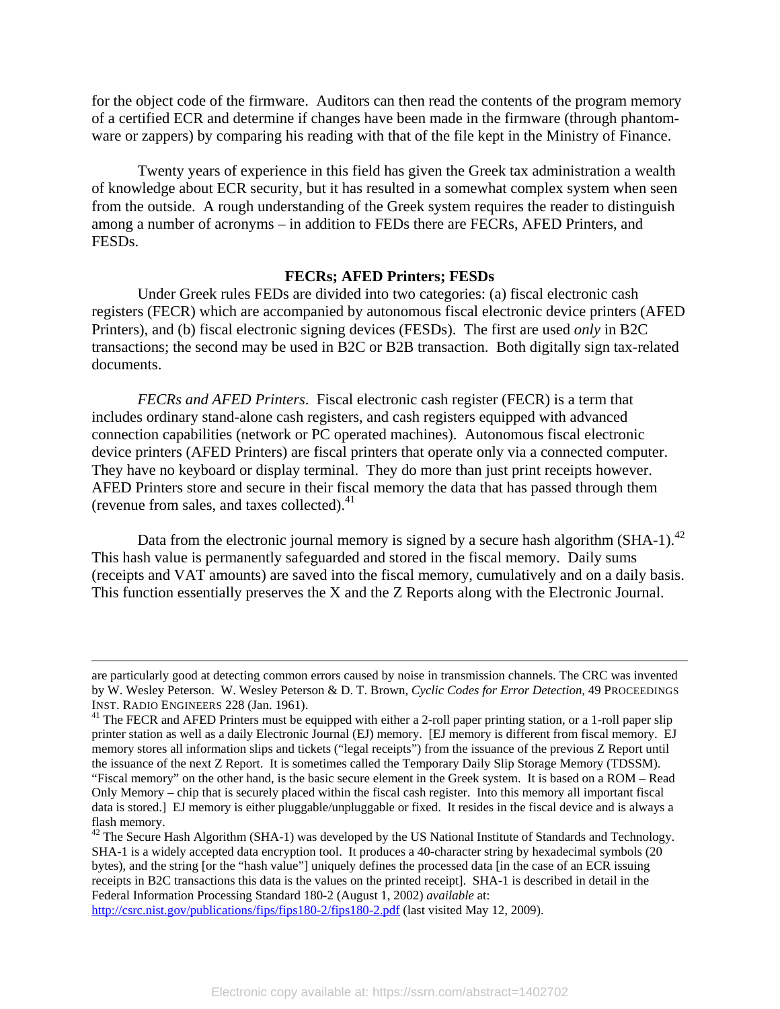for the object code of the firmware. Auditors can then read the contents of the program memory of a certified ECR and determine if changes have been made in the firmware (through phantomware or zappers) by comparing his reading with that of the file kept in the Ministry of Finance.

Twenty years of experience in this field has given the Greek tax administration a wealth of knowledge about ECR security, but it has resulted in a somewhat complex system when seen from the outside. A rough understanding of the Greek system requires the reader to distinguish among a number of acronyms – in addition to FEDs there are FECRs, AFED Printers, and FESDs.

#### **FECRs; AFED Printers; FESDs**

Under Greek rules FEDs are divided into two categories: (a) fiscal electronic cash registers (FECR) which are accompanied by autonomous fiscal electronic device printers (AFED Printers), and (b) fiscal electronic signing devices (FESDs). The first are used *only* in B2C transactions; the second may be used in B2C or B2B transaction. Both digitally sign tax-related documents.

*FECRs and AFED Printers*. Fiscal electronic cash register (FECR) is a term that includes ordinary stand-alone cash registers, and cash registers equipped with advanced connection capabilities (network or PC operated machines). Autonomous fiscal electronic device printers (AFED Printers) are fiscal printers that operate only via a connected computer. They have no keyboard or display terminal. They do more than just print receipts however. AFED Printers store and secure in their fiscal memory the data that has passed through them (revenue from sales, and taxes collected).41

Data from the electronic journal memory is signed by a secure hash algorithm  $(SHA-1)$ .<sup>42</sup> This hash value is permanently safeguarded and stored in the fiscal memory. Daily sums (receipts and VAT amounts) are saved into the fiscal memory, cumulatively and on a daily basis. This function essentially preserves the X and the Z Reports along with the Electronic Journal.

are particularly good at detecting common errors caused by noise in transmission channels. The CRC was invented by W. Wesley Peterson. W. Wesley Peterson & D. T. Brown, *Cyclic Codes for Error Detection,* 49 PROCEEDINGS

 $11$ <sup>41</sup> The FECR and AFED Printers must be equipped with either a 2-roll paper printing station, or a 1-roll paper slip printer station as well as a daily Electronic Journal (EJ) memory. [EJ memory is different from fiscal memory. EJ memory stores all information slips and tickets ("legal receipts") from the issuance of the previous Z Report until the issuance of the next Z Report. It is sometimes called the Temporary Daily Slip Storage Memory (TDSSM). "Fiscal memory" on the other hand, is the basic secure element in the Greek system. It is based on a ROM – Read Only Memory – chip that is securely placed within the fiscal cash register. Into this memory all important fiscal data is stored.] EJ memory is either pluggable/unpluggable or fixed. It resides in the fiscal device and is always a flash memory.

<sup>&</sup>lt;sup>42</sup> The Secure Hash Algorithm (SHA-1) was developed by the US National Institute of Standards and Technology. SHA-1 is a widely accepted data encryption tool. It produces a 40-character string by hexadecimal symbols (20 bytes), and the string [or the "hash value"] uniquely defines the processed data [in the case of an ECR issuing receipts in B2C transactions this data is the values on the printed receipt]. SHA-1 is described in detail in the Federal Information Processing Standard 180-2 (August 1, 2002) *available* at:

http://csrc.nist.gov/publications/fips/fips180-2/fips180-2.pdf (last visited May 12, 2009).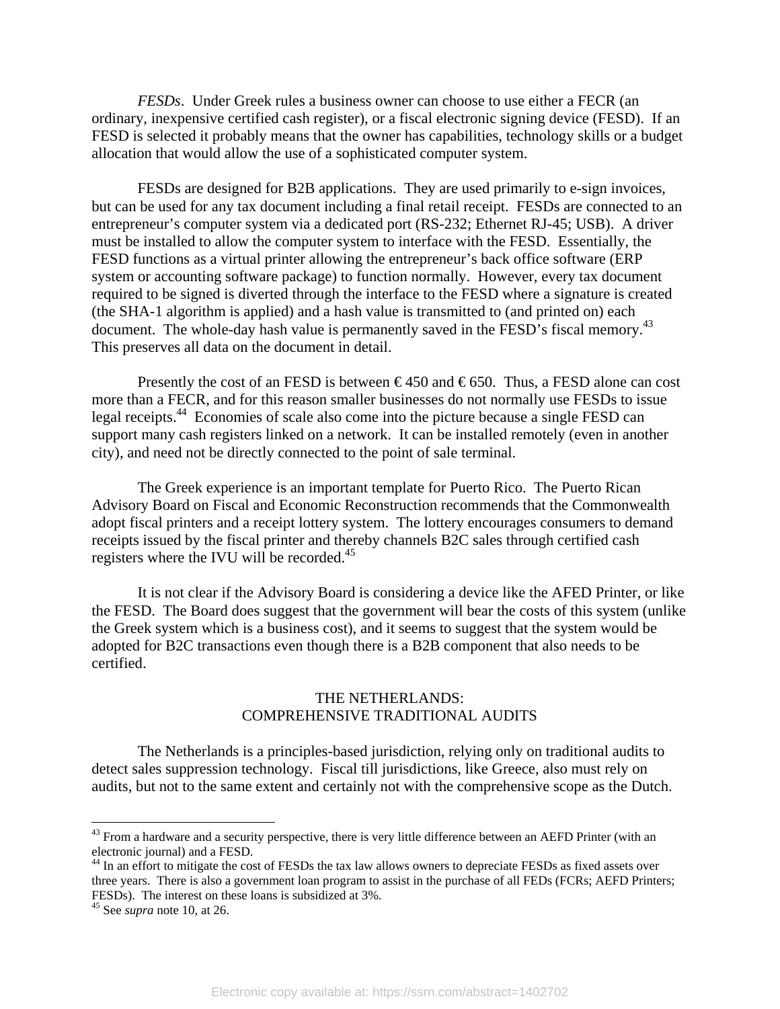*FESDs*. Under Greek rules a business owner can choose to use either a FECR (an ordinary, inexpensive certified cash register), or a fiscal electronic signing device (FESD). If an FESD is selected it probably means that the owner has capabilities, technology skills or a budget allocation that would allow the use of a sophisticated computer system.

FESDs are designed for B2B applications. They are used primarily to e-sign invoices, but can be used for any tax document including a final retail receipt. FESDs are connected to an entrepreneur's computer system via a dedicated port (RS-232; Ethernet RJ-45; USB). A driver must be installed to allow the computer system to interface with the FESD. Essentially, the FESD functions as a virtual printer allowing the entrepreneur's back office software (ERP system or accounting software package) to function normally. However, every tax document required to be signed is diverted through the interface to the FESD where a signature is created (the SHA-1 algorithm is applied) and a hash value is transmitted to (and printed on) each document. The whole-day hash value is permanently saved in the FESD's fiscal memory.<sup>43</sup> This preserves all data on the document in detail.

Presently the cost of an FESD is between  $\epsilon$ 450 and  $\epsilon$ 650. Thus, a FESD alone can cost more than a FECR, and for this reason smaller businesses do not normally use FESDs to issue legal receipts.44 Economies of scale also come into the picture because a single FESD can support many cash registers linked on a network. It can be installed remotely (even in another city), and need not be directly connected to the point of sale terminal.

The Greek experience is an important template for Puerto Rico. The Puerto Rican Advisory Board on Fiscal and Economic Reconstruction recommends that the Commonwealth adopt fiscal printers and a receipt lottery system. The lottery encourages consumers to demand receipts issued by the fiscal printer and thereby channels B2C sales through certified cash registers where the IVU will be recorded.<sup>45</sup>

It is not clear if the Advisory Board is considering a device like the AFED Printer, or like the FESD. The Board does suggest that the government will bear the costs of this system (unlike the Greek system which is a business cost), and it seems to suggest that the system would be adopted for B2C transactions even though there is a B2B component that also needs to be certified.

## THE NETHERLANDS: COMPREHENSIVE TRADITIONAL AUDITS

The Netherlands is a principles-based jurisdiction, relying only on traditional audits to detect sales suppression technology. Fiscal till jurisdictions, like Greece, also must rely on audits, but not to the same extent and certainly not with the comprehensive scope as the Dutch.

 $43$  From a hardware and a security perspective, there is very little difference between an AEFD Printer (with an electronic journal) and a FESD.

<sup>&</sup>lt;sup>44</sup> In an effort to mitigate the cost of FESDs the tax law allows owners to depreciate FESDs as fixed assets over three years. There is also a government loan program to assist in the purchase of all FEDs (FCRs; AEFD Printers; FESDs). The interest on these loans is subsidized at 3%.

<sup>45</sup> See *supra* note 10, at 26.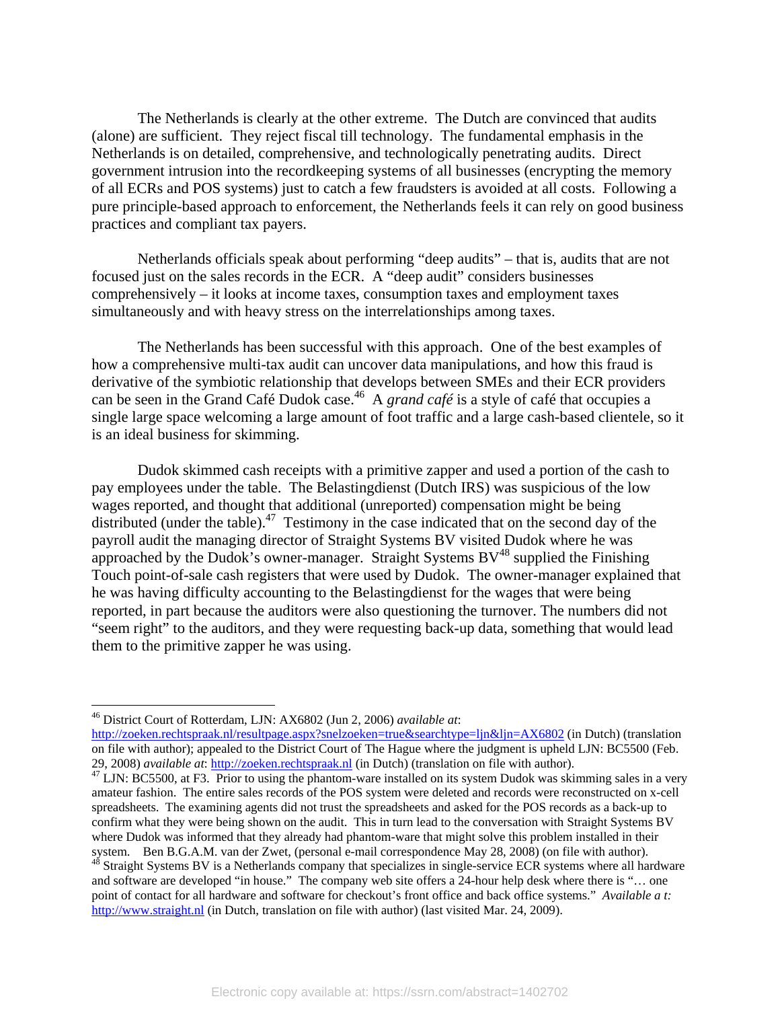The Netherlands is clearly at the other extreme. The Dutch are convinced that audits (alone) are sufficient. They reject fiscal till technology. The fundamental emphasis in the Netherlands is on detailed, comprehensive, and technologically penetrating audits. Direct government intrusion into the recordkeeping systems of all businesses (encrypting the memory of all ECRs and POS systems) just to catch a few fraudsters is avoided at all costs. Following a pure principle-based approach to enforcement, the Netherlands feels it can rely on good business practices and compliant tax payers.

Netherlands officials speak about performing "deep audits" – that is, audits that are not focused just on the sales records in the ECR. A "deep audit" considers businesses comprehensively – it looks at income taxes, consumption taxes and employment taxes simultaneously and with heavy stress on the interrelationships among taxes.

 The Netherlands has been successful with this approach. One of the best examples of how a comprehensive multi-tax audit can uncover data manipulations, and how this fraud is derivative of the symbiotic relationship that develops between SMEs and their ECR providers can be seen in the Grand Café Dudok case.46 A *grand café* is a style of café that occupies a single large space welcoming a large amount of foot traffic and a large cash-based clientele, so it is an ideal business for skimming.

Dudok skimmed cash receipts with a primitive zapper and used a portion of the cash to pay employees under the table. The Belastingdienst (Dutch IRS) was suspicious of the low wages reported, and thought that additional (unreported) compensation might be being distributed (under the table).<sup>47</sup> Testimony in the case indicated that on the second day of the payroll audit the managing director of Straight Systems BV visited Dudok where he was approached by the Dudok's owner-manager. Straight Systems  $BV^{48}$  supplied the Finishing Touch point-of-sale cash registers that were used by Dudok. The owner-manager explained that he was having difficulty accounting to the Belastingdienst for the wages that were being reported, in part because the auditors were also questioning the turnover. The numbers did not "seem right" to the auditors, and they were requesting back-up data, something that would lead them to the primitive zapper he was using.

<sup>46</sup> District Court of Rotterdam, LJN: AX6802 (Jun 2, 2006) *available at*:

http://zoeken.rechtspraak.nl/resultpage.aspx?snelzoeken=true&searchtype=ljn&ljn=AX6802 (in Dutch) (translation on file with author); appealed to the District Court of The Hague where the judgment is upheld LJN: BC5500 (Feb. 29, 2008) *available at*: http://zoeken.rechtspraak.nl (in Dutch) (translation on file with author). 47 LJN: BC5500, at F3. Prior to using the phantom-ware installed on its system Dudok was skimming sales in a very

amateur fashion. The entire sales records of the POS system were deleted and records were reconstructed on x-cell spreadsheets. The examining agents did not trust the spreadsheets and asked for the POS records as a back-up to confirm what they were being shown on the audit. This in turn lead to the conversation with Straight Systems BV where Dudok was informed that they already had phantom-ware that might solve this problem installed in their system. Ben B.G.A.M. van der Zwet, (personal e-mail correspondence May 28, 2008) (on file with author).  $48$  Straight Systems BV is a Netherlands company that specializes in single-service ECR systems where all hardware

and software are developed "in house." The company web site offers a 24-hour help desk where there is "… one point of contact for all hardware and software for checkout's front office and back office systems." *Available a t:*  http://www.straight.nl (in Dutch, translation on file with author) (last visited Mar. 24, 2009).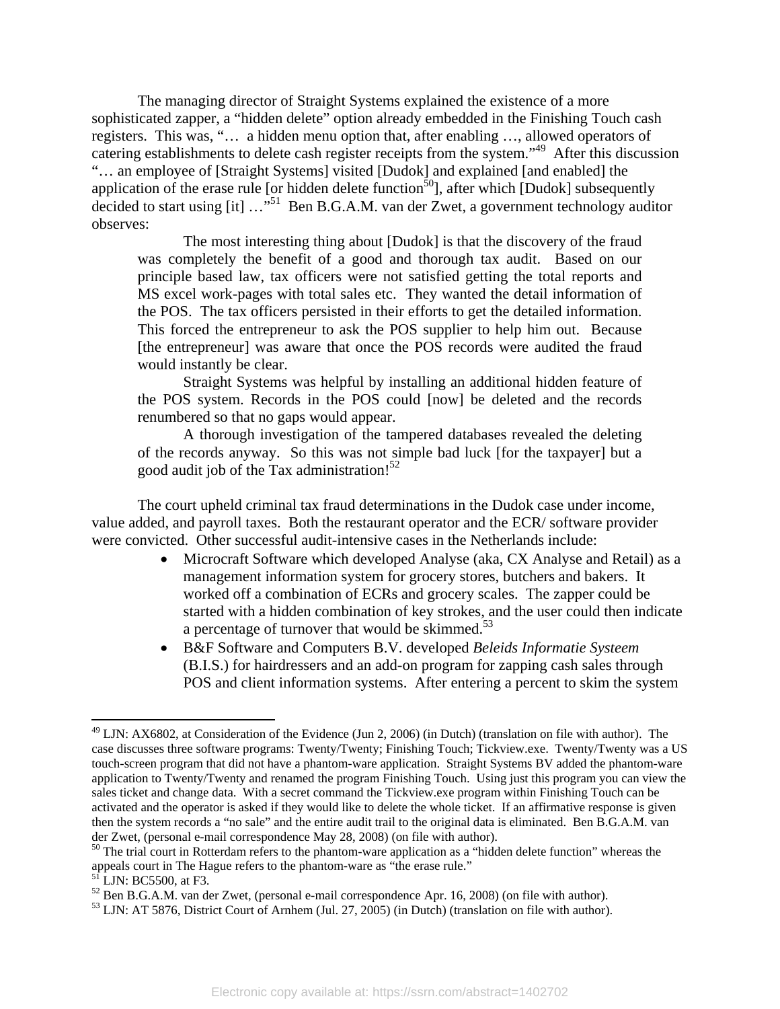The managing director of Straight Systems explained the existence of a more sophisticated zapper, a "hidden delete" option already embedded in the Finishing Touch cash registers. This was, "… a hidden menu option that, after enabling …, allowed operators of catering establishments to delete cash register receipts from the system."49 After this discussion "… an employee of [Straight Systems] visited [Dudok] and explained [and enabled] the application of the erase rule [or hidden delete function<sup>50</sup>], after which [Dudok] subsequently decided to start using [it] …"51 Ben B.G.A.M. van der Zwet, a government technology auditor observes:

The most interesting thing about [Dudok] is that the discovery of the fraud was completely the benefit of a good and thorough tax audit. Based on our principle based law, tax officers were not satisfied getting the total reports and MS excel work-pages with total sales etc. They wanted the detail information of the POS. The tax officers persisted in their efforts to get the detailed information. This forced the entrepreneur to ask the POS supplier to help him out. Because [the entrepreneur] was aware that once the POS records were audited the fraud would instantly be clear.

Straight Systems was helpful by installing an additional hidden feature of the POS system. Records in the POS could [now] be deleted and the records renumbered so that no gaps would appear.

A thorough investigation of the tampered databases revealed the deleting of the records anyway. So this was not simple bad luck [for the taxpayer] but a good audit job of the Tax administration! $52$ 

The court upheld criminal tax fraud determinations in the Dudok case under income, value added, and payroll taxes. Both the restaurant operator and the ECR/ software provider were convicted. Other successful audit-intensive cases in the Netherlands include:

- Microcraft Software which developed Analyse (aka, CX Analyse and Retail) as a management information system for grocery stores, butchers and bakers. It worked off a combination of ECRs and grocery scales. The zapper could be started with a hidden combination of key strokes, and the user could then indicate a percentage of turnover that would be skimmed. $53$
- B&F Software and Computers B.V. developed *Beleids Informatie Systeem* (B.I.S.) for hairdressers and an add-on program for zapping cash sales through POS and client information systems. After entering a percent to skim the system

1

 $^{49}$  LJN: AX6802, at Consideration of the Evidence (Jun 2, 2006) (in Dutch) (translation on file with author). The case discusses three software programs: Twenty/Twenty; Finishing Touch; Tickview.exe. Twenty/Twenty was a US touch-screen program that did not have a phantom-ware application. Straight Systems BV added the phantom-ware application to Twenty/Twenty and renamed the program Finishing Touch. Using just this program you can view the sales ticket and change data. With a secret command the Tickview.exe program within Finishing Touch can be activated and the operator is asked if they would like to delete the whole ticket. If an affirmative response is given then the system records a "no sale" and the entire audit trail to the original data is eliminated. Ben B.G.A.M. van der Zwet, (personal e-mail correspondence May 28, 2008) (on file with author).

<sup>&</sup>lt;sup>50</sup> The trial court in Rotterdam refers to the phantom-ware application as a "hidden delete function" whereas the appeals court in The Hague refers to the phantom-ware as "the erase rule."

 $<sup>51</sup>$  LJN: BC5500, at F3.</sup>

<sup>52</sup> Ben B.G.A.M. van der Zwet, (personal e-mail correspondence Apr. 16, 2008) (on file with author).

<sup>53</sup> LJN: AT 5876, District Court of Arnhem (Jul. 27, 2005) (in Dutch) (translation on file with author).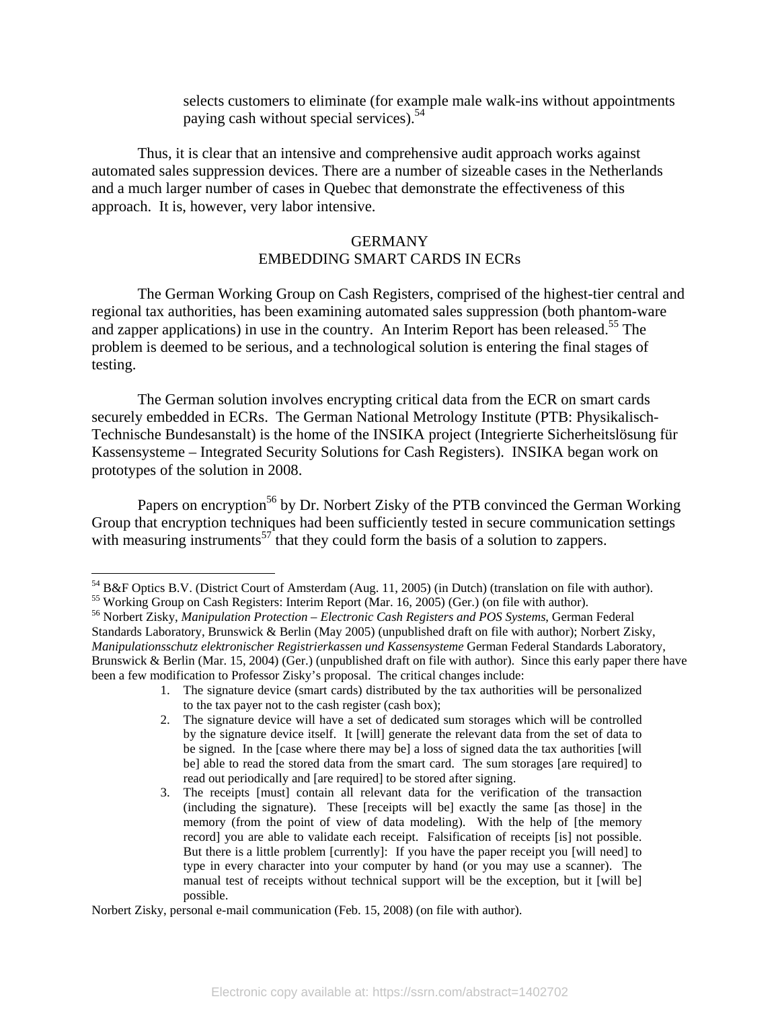selects customers to eliminate (for example male walk-ins without appointments paying cash without special services). $54$ 

Thus, it is clear that an intensive and comprehensive audit approach works against automated sales suppression devices. There are a number of sizeable cases in the Netherlands and a much larger number of cases in Quebec that demonstrate the effectiveness of this approach. It is, however, very labor intensive.

## **GERMANY** EMBEDDING SMART CARDS IN ECRs

The German Working Group on Cash Registers, comprised of the highest-tier central and regional tax authorities, has been examining automated sales suppression (both phantom-ware and zapper applications) in use in the country. An Interim Report has been released.<sup>55</sup> The problem is deemed to be serious, and a technological solution is entering the final stages of testing.

The German solution involves encrypting critical data from the ECR on smart cards securely embedded in ECRs. The German National Metrology Institute (PTB: Physikalisch-Technische Bundesanstalt) is the home of the INSIKA project (Integrierte Sicherheitslösung für Kassensysteme – Integrated Security Solutions for Cash Registers). INSIKA began work on prototypes of the solution in 2008.

Papers on encryption<sup>56</sup> by Dr. Norbert Zisky of the PTB convinced the German Working Group that encryption techniques had been sufficiently tested in secure communication settings with measuring instruments<sup>57</sup> that they could form the basis of a solution to zappers.

<sup>&</sup>lt;sup>54</sup> B&F Optics B.V. (District Court of Amsterdam (Aug. 11, 2005) (in Dutch) (translation on file with author).<br><sup>55</sup> Working Group on Cash Registers: Interim Report (Mar. 16, 2005) (Ger.) (on file with author).<br><sup>56</sup> Norbe

Standards Laboratory, Brunswick & Berlin (May 2005) (unpublished draft on file with author); Norbert Zisky, *Manipulationsschutz elektronischer Registrierkassen und Kassensysteme* German Federal Standards Laboratory, Brunswick & Berlin (Mar. 15, 2004) (Ger.) (unpublished draft on file with author). Since this early paper there have been a few modification to Professor Zisky's proposal. The critical changes include:

<sup>1.</sup> The signature device (smart cards) distributed by the tax authorities will be personalized to the tax payer not to the cash register (cash box);

<sup>2.</sup> The signature device will have a set of dedicated sum storages which will be controlled by the signature device itself. It [will] generate the relevant data from the set of data to be signed. In the [case where there may be] a loss of signed data the tax authorities [will be] able to read the stored data from the smart card. The sum storages [are required] to read out periodically and [are required] to be stored after signing.

<sup>3.</sup> The receipts [must] contain all relevant data for the verification of the transaction (including the signature). These [receipts will be] exactly the same [as those] in the memory (from the point of view of data modeling). With the help of [the memory record] you are able to validate each receipt. Falsification of receipts [is] not possible. But there is a little problem [currently]: If you have the paper receipt you [will need] to type in every character into your computer by hand (or you may use a scanner). The manual test of receipts without technical support will be the exception, but it [will be] possible.

Norbert Zisky, personal e-mail communication (Feb. 15, 2008) (on file with author).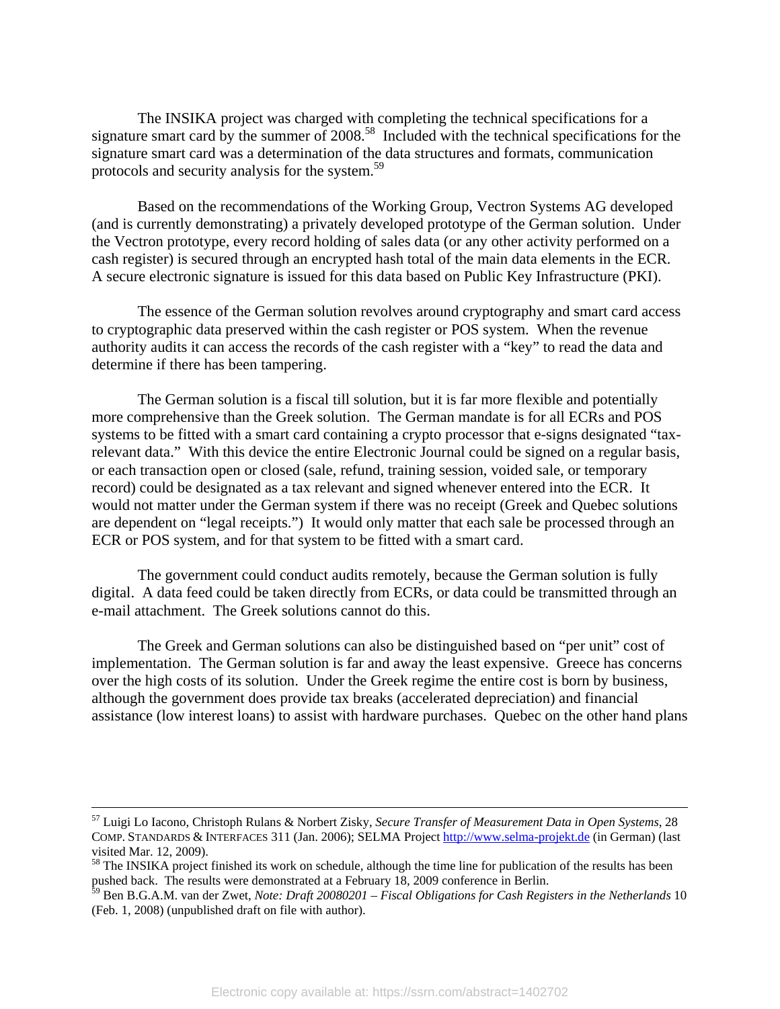The INSIKA project was charged with completing the technical specifications for a signature smart card by the summer of 2008.<sup>58</sup> Included with the technical specifications for the signature smart card was a determination of the data structures and formats, communication protocols and security analysis for the system.59

Based on the recommendations of the Working Group, Vectron Systems AG developed (and is currently demonstrating) a privately developed prototype of the German solution. Under the Vectron prototype, every record holding of sales data (or any other activity performed on a cash register) is secured through an encrypted hash total of the main data elements in the ECR. A secure electronic signature is issued for this data based on Public Key Infrastructure (PKI).

The essence of the German solution revolves around cryptography and smart card access to cryptographic data preserved within the cash register or POS system. When the revenue authority audits it can access the records of the cash register with a "key" to read the data and determine if there has been tampering.

The German solution is a fiscal till solution, but it is far more flexible and potentially more comprehensive than the Greek solution. The German mandate is for all ECRs and POS systems to be fitted with a smart card containing a crypto processor that e-signs designated "taxrelevant data." With this device the entire Electronic Journal could be signed on a regular basis, or each transaction open or closed (sale, refund, training session, voided sale, or temporary record) could be designated as a tax relevant and signed whenever entered into the ECR. It would not matter under the German system if there was no receipt (Greek and Quebec solutions are dependent on "legal receipts.") It would only matter that each sale be processed through an ECR or POS system, and for that system to be fitted with a smart card.

The government could conduct audits remotely, because the German solution is fully digital. A data feed could be taken directly from ECRs, or data could be transmitted through an e-mail attachment. The Greek solutions cannot do this.

The Greek and German solutions can also be distinguished based on "per unit" cost of implementation. The German solution is far and away the least expensive. Greece has concerns over the high costs of its solution. Under the Greek regime the entire cost is born by business, although the government does provide tax breaks (accelerated depreciation) and financial assistance (low interest loans) to assist with hardware purchases. Quebec on the other hand plans

 <sup>57</sup> Luigi Lo Iacono, Christoph Rulans & Norbert Zisky, *Secure Transfer of Measurement Data in Open Systems*, 28 COMP. STANDARDS & INTERFACES 311 (Jan. 2006); SELMA Project http://www.selma-projekt.de (in German) (last visited Mar. 12, 2009).

<sup>&</sup>lt;sup>58</sup> The INSIKA project finished its work on schedule, although the time line for publication of the results has been pushed back. The results were demonstrated at a February 18, 2009 conference in Berlin.

<sup>&</sup>lt;sup>59</sup> Ben B.G.A.M. van der Zwet, *Note: Draft 20080201 – Fiscal Obligations for Cash Registers in the Netherlands* 10 (Feb. 1, 2008) (unpublished draft on file with author).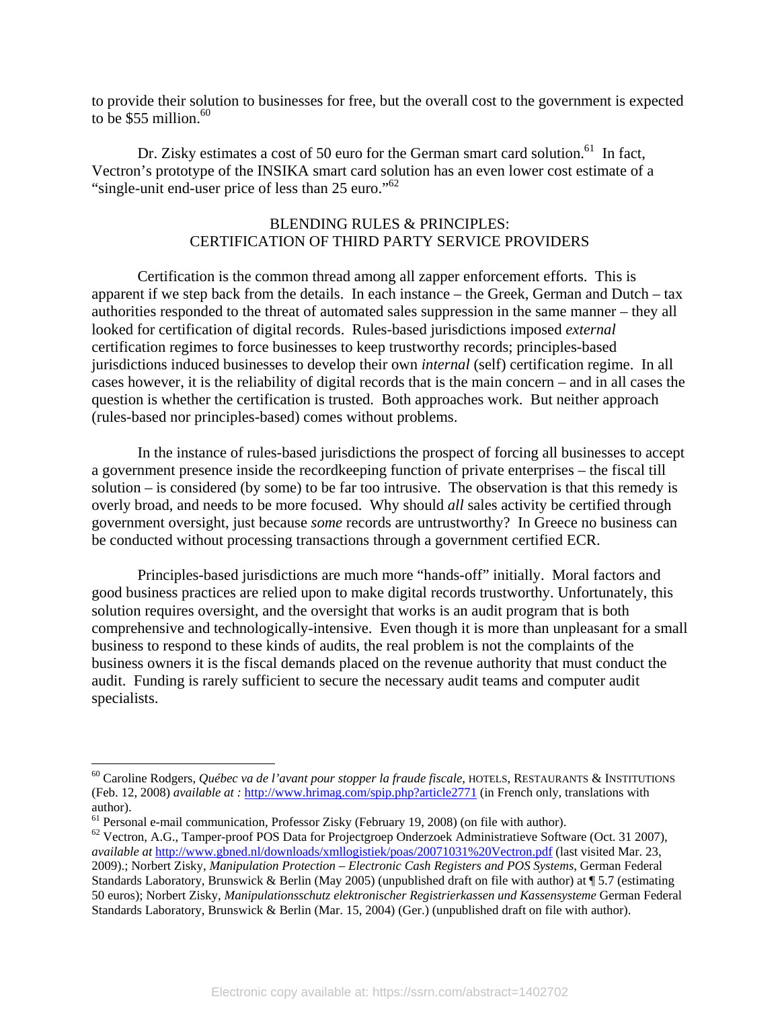to provide their solution to businesses for free, but the overall cost to the government is expected to be \$55 million. $60$ 

Dr. Zisky estimates a cost of 50 euro for the German smart card solution.<sup>61</sup> In fact, Vectron's prototype of the INSIKA smart card solution has an even lower cost estimate of a "single-unit end-user price of less than 25 euro."<sup>62</sup>

## BLENDING RULES & PRINCIPLES: CERTIFICATION OF THIRD PARTY SERVICE PROVIDERS

Certification is the common thread among all zapper enforcement efforts. This is apparent if we step back from the details. In each instance – the Greek, German and Dutch – tax authorities responded to the threat of automated sales suppression in the same manner – they all looked for certification of digital records. Rules-based jurisdictions imposed *external* certification regimes to force businesses to keep trustworthy records; principles-based jurisdictions induced businesses to develop their own *internal* (self) certification regime. In all cases however, it is the reliability of digital records that is the main concern – and in all cases the question is whether the certification is trusted. Both approaches work. But neither approach (rules-based nor principles-based) comes without problems.

In the instance of rules-based jurisdictions the prospect of forcing all businesses to accept a government presence inside the recordkeeping function of private enterprises – the fiscal till solution – is considered (by some) to be far too intrusive. The observation is that this remedy is overly broad, and needs to be more focused. Why should *all* sales activity be certified through government oversight, just because *some* records are untrustworthy? In Greece no business can be conducted without processing transactions through a government certified ECR.

Principles-based jurisdictions are much more "hands-off" initially. Moral factors and good business practices are relied upon to make digital records trustworthy. Unfortunately, this solution requires oversight, and the oversight that works is an audit program that is both comprehensive and technologically-intensive. Even though it is more than unpleasant for a small business to respond to these kinds of audits, the real problem is not the complaints of the business owners it is the fiscal demands placed on the revenue authority that must conduct the audit. Funding is rarely sufficient to secure the necessary audit teams and computer audit specialists.

<sup>60</sup> Caroline Rodgers, *Québec va de l'avant pour stopper la fraude fiscale*, HOTELS, RESTAURANTS & INSTITUTIONS (Feb. 12, 2008) *available at :* http://www.hrimag.com/spip.php?article2771 (in French only, translations with author).

<sup>&</sup>lt;sup>61</sup> Personal e-mail communication, Professor Zisky (February 19, 2008) (on file with author).

<sup>&</sup>lt;sup>62</sup> Vectron, A.G., Tamper-proof POS Data for Projectgroep Onderzoek Administratieve Software (Oct. 31 2007), *available at* http://www.gbned.nl/downloads/xmllogistiek/poas/20071031%20Vectron.pdf (last visited Mar. 23, 2009).; Norbert Zisky, *Manipulation Protection – Electronic Cash Registers and POS Systems*, German Federal Standards Laboratory, Brunswick & Berlin (May 2005) (unpublished draft on file with author) at ¶ 5.7 (estimating 50 euros); Norbert Zisky, *Manipulationsschutz elektronischer Registrierkassen und Kassensysteme* German Federal Standards Laboratory, Brunswick & Berlin (Mar. 15, 2004) (Ger.) (unpublished draft on file with author).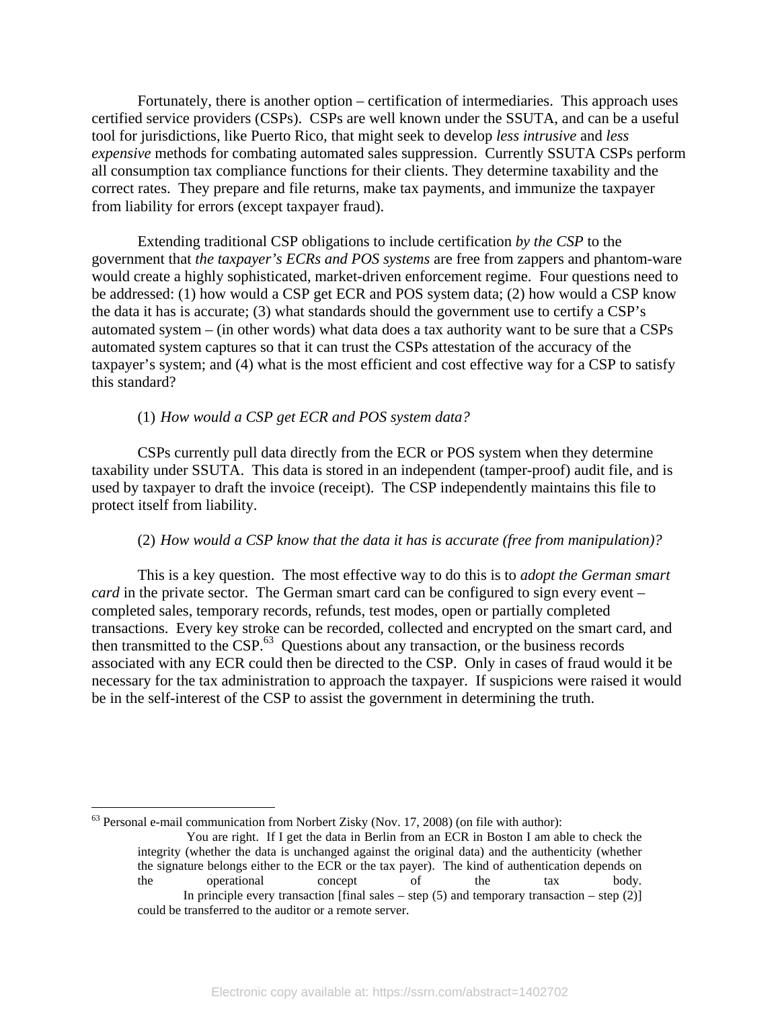Fortunately, there is another option – certification of intermediaries. This approach uses certified service providers (CSPs). CSPs are well known under the SSUTA, and can be a useful tool for jurisdictions, like Puerto Rico, that might seek to develop *less intrusive* and *less expensive* methods for combating automated sales suppression. Currently SSUTA CSPs perform all consumption tax compliance functions for their clients. They determine taxability and the correct rates. They prepare and file returns, make tax payments, and immunize the taxpayer from liability for errors (except taxpayer fraud).

Extending traditional CSP obligations to include certification *by the CSP* to the government that *the taxpayer's ECRs and POS systems* are free from zappers and phantom-ware would create a highly sophisticated, market-driven enforcement regime. Four questions need to be addressed: (1) how would a CSP get ECR and POS system data; (2) how would a CSP know the data it has is accurate; (3) what standards should the government use to certify a CSP's automated system – (in other words) what data does a tax authority want to be sure that a CSPs automated system captures so that it can trust the CSPs attestation of the accuracy of the taxpayer's system; and (4) what is the most efficient and cost effective way for a CSP to satisfy this standard?

#### (1) *How would a CSP get ECR and POS system data?*

CSPs currently pull data directly from the ECR or POS system when they determine taxability under SSUTA. This data is stored in an independent (tamper-proof) audit file, and is used by taxpayer to draft the invoice (receipt). The CSP independently maintains this file to protect itself from liability.

#### (2) *How would a CSP know that the data it has is accurate (free from manipulation)?*

This is a key question. The most effective way to do this is to *adopt the German smart card* in the private sector. The German smart card can be configured to sign every event – completed sales, temporary records, refunds, test modes, open or partially completed transactions. Every key stroke can be recorded, collected and encrypted on the smart card, and then transmitted to the  $CSP<sup>63</sup>$  Questions about any transaction, or the business records associated with any ECR could then be directed to the CSP. Only in cases of fraud would it be necessary for the tax administration to approach the taxpayer. If suspicions were raised it would be in the self-interest of the CSP to assist the government in determining the truth.

 $63$  Personal e-mail communication from Norbert Zisky (Nov. 17, 2008) (on file with author):

You are right. If I get the data in Berlin from an ECR in Boston I am able to check the integrity (whether the data is unchanged against the original data) and the authenticity (whether the signature belongs either to the ECR or the tax payer). The kind of authentication depends on the operational concept of the tax body. In principle every transaction [final sales – step  $(5)$  and temporary transaction – step  $(2)$ ] could be transferred to the auditor or a remote server.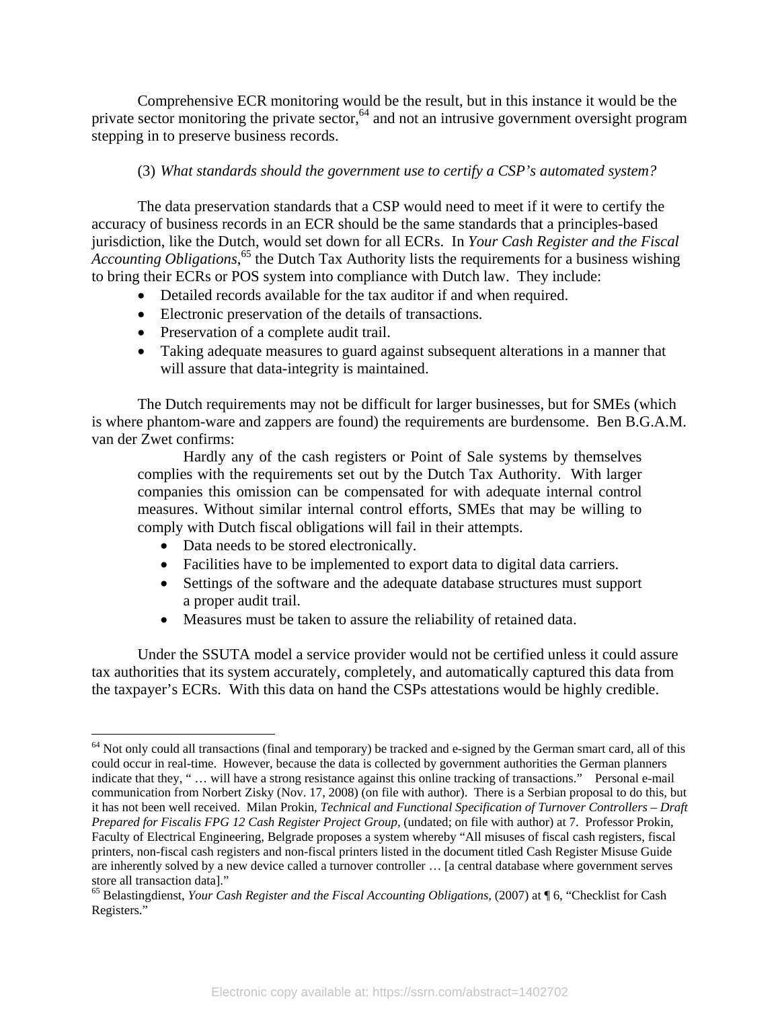Comprehensive ECR monitoring would be the result, but in this instance it would be the private sector monitoring the private sector, $64$  and not an intrusive government oversight program stepping in to preserve business records.

## (3) *What standards should the government use to certify a CSP's automated system?*

The data preservation standards that a CSP would need to meet if it were to certify the accuracy of business records in an ECR should be the same standards that a principles-based jurisdiction, like the Dutch, would set down for all ECRs. In *Your Cash Register and the Fiscal*  Accounting Obligations,<sup>65</sup> the Dutch Tax Authority lists the requirements for a business wishing to bring their ECRs or POS system into compliance with Dutch law. They include:

- Detailed records available for the tax auditor if and when required.
- Electronic preservation of the details of transactions.
- Preservation of a complete audit trail.
- Taking adequate measures to guard against subsequent alterations in a manner that will assure that data-integrity is maintained.

The Dutch requirements may not be difficult for larger businesses, but for SMEs (which is where phantom-ware and zappers are found) the requirements are burdensome. Ben B.G.A.M. van der Zwet confirms:

Hardly any of the cash registers or Point of Sale systems by themselves complies with the requirements set out by the Dutch Tax Authority. With larger companies this omission can be compensated for with adequate internal control measures. Without similar internal control efforts, SMEs that may be willing to comply with Dutch fiscal obligations will fail in their attempts.

- Data needs to be stored electronically.
- Facilities have to be implemented to export data to digital data carriers.
- Settings of the software and the adequate database structures must support a proper audit trail.
- Measures must be taken to assure the reliability of retained data.

Under the SSUTA model a service provider would not be certified unless it could assure tax authorities that its system accurately, completely, and automatically captured this data from the taxpayer's ECRs. With this data on hand the CSPs attestations would be highly credible.

 $\overline{a}$ <sup>64</sup> Not only could all transactions (final and temporary) be tracked and e-signed by the German smart card, all of this could occur in real-time. However, because the data is collected by government authorities the German planners indicate that they, " ... will have a strong resistance against this online tracking of transactions." Personal e-mail communication from Norbert Zisky (Nov. 17, 2008) (on file with author). There is a Serbian proposal to do this, but it has not been well received. Milan Prokin, *Technical and Functional Specification of Turnover Controllers – Draft Prepared for Fiscalis FPG 12 Cash Register Project Group,* (undated; on file with author) at 7. Professor Prokin, Faculty of Electrical Engineering, Belgrade proposes a system whereby "All misuses of fiscal cash registers, fiscal printers, non-fiscal cash registers and non-fiscal printers listed in the document titled Cash Register Misuse Guide are inherently solved by a new device called a turnover controller … [a central database where government serves store all transaction data]."

<sup>65</sup> Belastingdienst, *Your Cash Register and the Fiscal Accounting Obligations,* (2007) at ¶ 6, "Checklist for Cash Registers."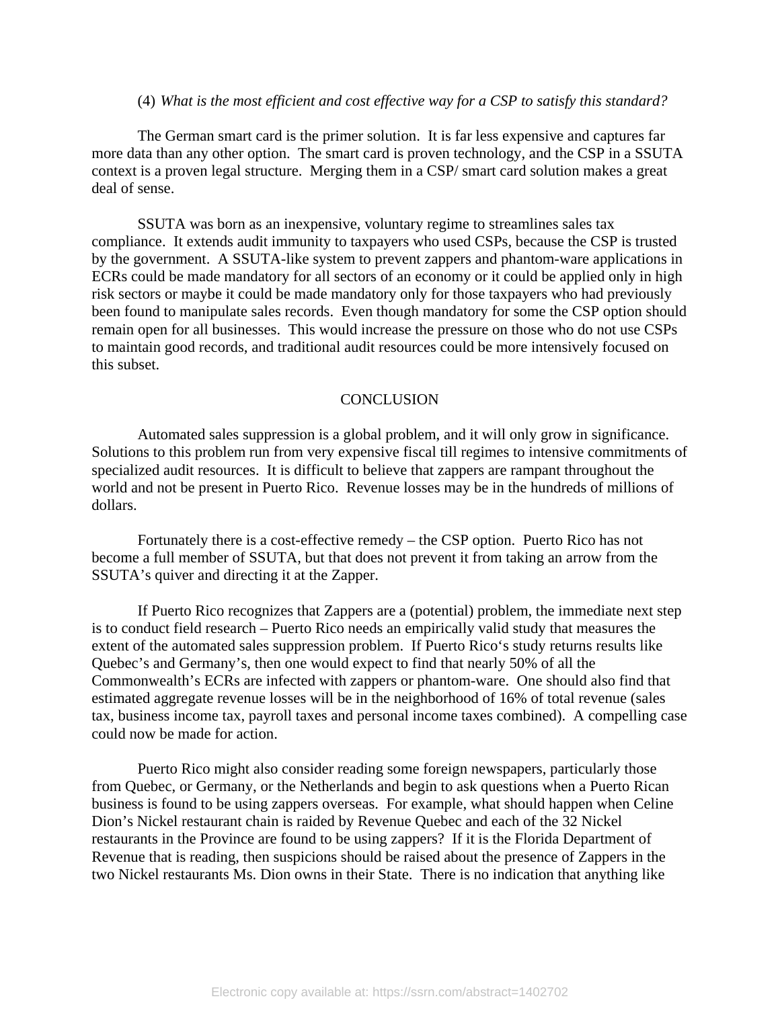#### (4) *What is the most efficient and cost effective way for a CSP to satisfy this standard?*

The German smart card is the primer solution. It is far less expensive and captures far more data than any other option. The smart card is proven technology, and the CSP in a SSUTA context is a proven legal structure. Merging them in a CSP/ smart card solution makes a great deal of sense.

SSUTA was born as an inexpensive, voluntary regime to streamlines sales tax compliance. It extends audit immunity to taxpayers who used CSPs, because the CSP is trusted by the government. A SSUTA-like system to prevent zappers and phantom-ware applications in ECRs could be made mandatory for all sectors of an economy or it could be applied only in high risk sectors or maybe it could be made mandatory only for those taxpayers who had previously been found to manipulate sales records. Even though mandatory for some the CSP option should remain open for all businesses. This would increase the pressure on those who do not use CSPs to maintain good records, and traditional audit resources could be more intensively focused on this subset.

#### **CONCLUSION**

 Automated sales suppression is a global problem, and it will only grow in significance. Solutions to this problem run from very expensive fiscal till regimes to intensive commitments of specialized audit resources. It is difficult to believe that zappers are rampant throughout the world and not be present in Puerto Rico. Revenue losses may be in the hundreds of millions of dollars.

 Fortunately there is a cost-effective remedy – the CSP option. Puerto Rico has not become a full member of SSUTA, but that does not prevent it from taking an arrow from the SSUTA's quiver and directing it at the Zapper.

If Puerto Rico recognizes that Zappers are a (potential) problem, the immediate next step is to conduct field research – Puerto Rico needs an empirically valid study that measures the extent of the automated sales suppression problem. If Puerto Rico's study returns results like Quebec's and Germany's, then one would expect to find that nearly 50% of all the Commonwealth's ECRs are infected with zappers or phantom-ware. One should also find that estimated aggregate revenue losses will be in the neighborhood of 16% of total revenue (sales tax, business income tax, payroll taxes and personal income taxes combined). A compelling case could now be made for action.

 Puerto Rico might also consider reading some foreign newspapers, particularly those from Quebec, or Germany, or the Netherlands and begin to ask questions when a Puerto Rican business is found to be using zappers overseas. For example, what should happen when Celine Dion's Nickel restaurant chain is raided by Revenue Quebec and each of the 32 Nickel restaurants in the Province are found to be using zappers? If it is the Florida Department of Revenue that is reading, then suspicions should be raised about the presence of Zappers in the two Nickel restaurants Ms. Dion owns in their State. There is no indication that anything like